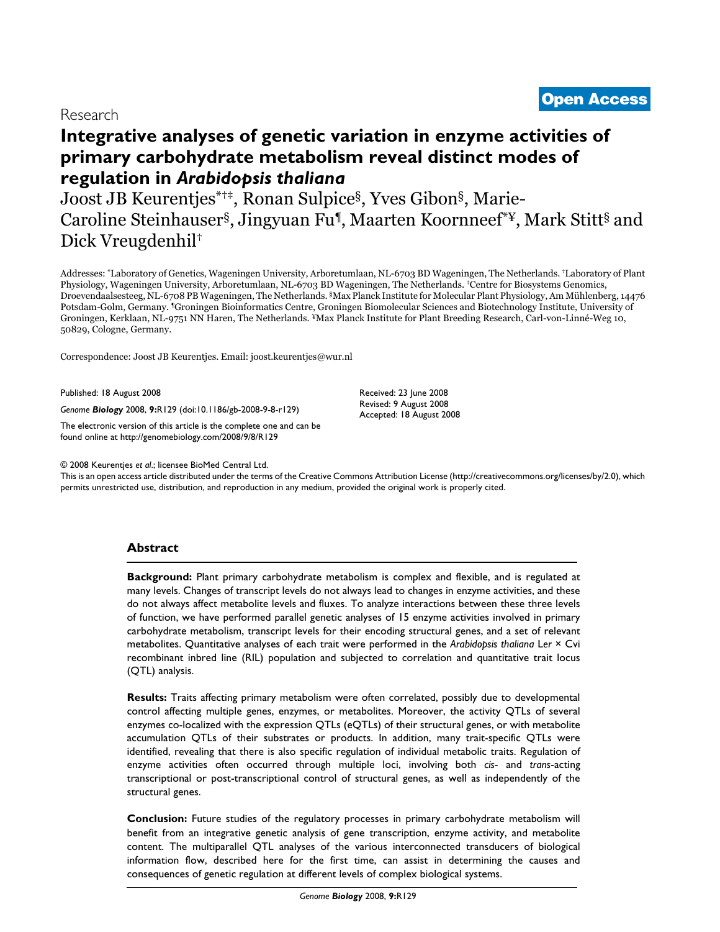# Research

# **Integrative analyses of genetic variation in enzyme activities of primary carbohydrate metabolism reveal distinct modes of regulation in** *Arabidopsis thaliana*

Joost JB Keurentjes\*†‡, Ronan Sulpice§, Yves Gibon§, Marie-Caroline Steinhauser§, Jingyuan Fu¶, Maarten Koornneef\*¥, Mark Stitt§ and Dick Vreugdenhil†

Addresses: \*Laboratory of Genetics, Wageningen University, Arboretumlaan, NL-6703 BD Wageningen, The Netherlands. †Laboratory of Plant Physiology, Wageningen University, Arboretumlaan, NL-6703 BD Wageningen, The Netherlands. ‡Centre for Biosystems Genomics, Droevendaalsesteeg, NL-6708 PB Wageningen, The Netherlands. §Max Planck Institute for Molecular Plant Physiology, Am Mühlenberg, 14476 Potsdam-Golm, Germany. "Groningen Bioinformatics Centre, Groningen Biomolecular Sciences and Biotechnology Institute, University of Groningen, Kerklaan, NL-9751 NN Haren, The Netherlands. ¥Max Planck Institute for Plant Breeding Research, Carl-von-Linné-Weg 10, 50829, Cologne, Germany.

> Received: 23 June 2008 Revised: 9 August 2008 Accepted: 18 August 2008

Correspondence: Joost JB Keurentjes. Email: joost.keurentjes@wur.nl

Published: 18 August 2008

*Genome Biology* 2008, **9:**R129 (doi:10.1186/gb-2008-9-8-r129)

[The electronic version of this article is the complete one and can be](http://genomebiology.com/2008/9/8/R129)  found online at http://genomebiology.com/2008/9/8/R129

© 2008 Keurentjes *et al*.; licensee BioMed Central Ltd.

[This is an open access article distributed under the terms of the Creative Commons Attribution License \(http://creativecommons.org/licenses/by/2.0\), which](http://creativecommons.org/licenses/by/2.0)  permits unrestricted use, distribution, and reproduction in any medium, provided the original work is properly cited.

# **Abstract**

**Background:** Plant primary carbohydrate metabolism is complex and flexible, and is regulated at many levels. Changes of transcript levels do not always lead to changes in enzyme activities, and these do not always affect metabolite levels and fluxes. To analyze interactions between these three levels of function, we have performed parallel genetic analyses of 15 enzyme activities involved in primary carbohydrate metabolism, transcript levels for their encoding structural genes, and a set of relevant metabolites. Quantitative analyses of each trait were performed in the *Arabidopsis thaliana* L*er* × Cvi recombinant inbred line (RIL) population and subjected to correlation and quantitative trait locus (QTL) analysis.

**Results:** Traits affecting primary metabolism were often correlated, possibly due to developmental control affecting multiple genes, enzymes, or metabolites. Moreover, the activity QTLs of several enzymes co-localized with the expression QTLs (eQTLs) of their structural genes, or with metabolite accumulation QTLs of their substrates or products. In addition, many trait-specific QTLs were identified, revealing that there is also specific regulation of individual metabolic traits. Regulation of enzyme activities often occurred through multiple loci, involving both *cis*- and *trans*-acting transcriptional or post-transcriptional control of structural genes, as well as independently of the structural genes.

**Conclusion:** Future studies of the regulatory processes in primary carbohydrate metabolism will benefit from an integrative genetic analysis of gene transcription, enzyme activity, and metabolite content. The multiparallel QTL analyses of the various interconnected transducers of biological information flow, described here for the first time, can assist in determining the causes and consequences of genetic regulation at different levels of complex biological systems.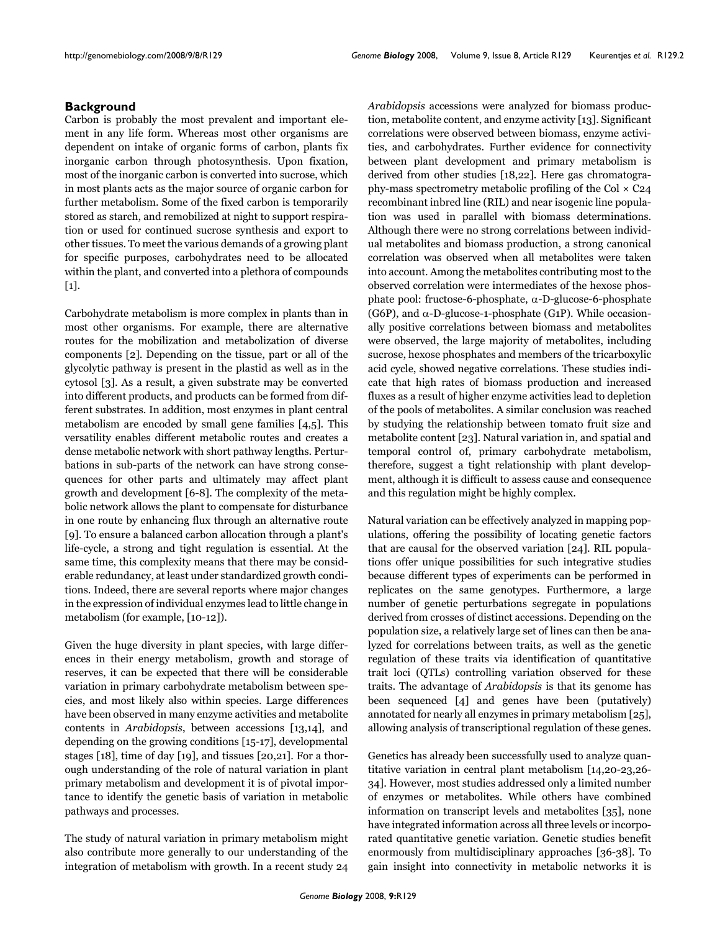# **Background**

Carbon is probably the most prevalent and important element in any life form. Whereas most other organisms are dependent on intake of organic forms of carbon, plants fix inorganic carbon through photosynthesis. Upon fixation, most of the inorganic carbon is converted into sucrose, which in most plants acts as the major source of organic carbon for further metabolism. Some of the fixed carbon is temporarily stored as starch, and remobilized at night to support respiration or used for continued sucrose synthesis and export to other tissues. To meet the various demands of a growing plant for specific purposes, carbohydrates need to be allocated within the plant, and converted into a plethora of compounds  $\lceil 1 \rceil$ .

Carbohydrate metabolism is more complex in plants than in most other organisms. For example, there are alternative routes for the mobilization and metabolization of diverse components [2]. Depending on the tissue, part or all of the glycolytic pathway is present in the plastid as well as in the cytosol [3]. As a result, a given substrate may be converted into different products, and products can be formed from different substrates. In addition, most enzymes in plant central metabolism are encoded by small gene families [4,5]. This versatility enables different metabolic routes and creates a dense metabolic network with short pathway lengths. Perturbations in sub-parts of the network can have strong consequences for other parts and ultimately may affect plant growth and development [6-8]. The complexity of the metabolic network allows the plant to compensate for disturbance in one route by enhancing flux through an alternative route [9]. To ensure a balanced carbon allocation through a plant's life-cycle, a strong and tight regulation is essential. At the same time, this complexity means that there may be considerable redundancy, at least under standardized growth conditions. Indeed, there are several reports where major changes in the expression of individual enzymes lead to little change in metabolism (for example, [10-12]).

Given the huge diversity in plant species, with large differences in their energy metabolism, growth and storage of reserves, it can be expected that there will be considerable variation in primary carbohydrate metabolism between species, and most likely also within species. Large differences have been observed in many enzyme activities and metabolite contents in *Arabidopsis*, between accessions [13,14], and depending on the growing conditions [15-17], developmental stages [18], time of day [19], and tissues [20,21]. For a thorough understanding of the role of natural variation in plant primary metabolism and development it is of pivotal importance to identify the genetic basis of variation in metabolic pathways and processes.

The study of natural variation in primary metabolism might also contribute more generally to our understanding of the integration of metabolism with growth. In a recent study 24

*Arabidopsis* accessions were analyzed for biomass production, metabolite content, and enzyme activity [13]. Significant correlations were observed between biomass, enzyme activities, and carbohydrates. Further evidence for connectivity between plant development and primary metabolism is derived from other studies [18,22]. Here gas chromatography-mass spectrometry metabolic profiling of the Col  $\times$  C24 recombinant inbred line (RIL) and near isogenic line population was used in parallel with biomass determinations. Although there were no strong correlations between individual metabolites and biomass production, a strong canonical correlation was observed when all metabolites were taken into account. Among the metabolites contributing most to the observed correlation were intermediates of the hexose phosphate pool: fructose-6-phosphate, α-D-glucose-6-phosphate (G6P), and  $\alpha$ -D-glucose-1-phosphate (G1P). While occasionally positive correlations between biomass and metabolites were observed, the large majority of metabolites, including sucrose, hexose phosphates and members of the tricarboxylic acid cycle, showed negative correlations. These studies indicate that high rates of biomass production and increased fluxes as a result of higher enzyme activities lead to depletion of the pools of metabolites. A similar conclusion was reached by studying the relationship between tomato fruit size and metabolite content [23]. Natural variation in, and spatial and temporal control of, primary carbohydrate metabolism, therefore, suggest a tight relationship with plant development, although it is difficult to assess cause and consequence and this regulation might be highly complex.

Natural variation can be effectively analyzed in mapping populations, offering the possibility of locating genetic factors that are causal for the observed variation [24]. RIL populations offer unique possibilities for such integrative studies because different types of experiments can be performed in replicates on the same genotypes. Furthermore, a large number of genetic perturbations segregate in populations derived from crosses of distinct accessions. Depending on the population size, a relatively large set of lines can then be analyzed for correlations between traits, as well as the genetic regulation of these traits via identification of quantitative trait loci (QTLs) controlling variation observed for these traits. The advantage of *Arabidopsis* is that its genome has been sequenced [4] and genes have been (putatively) annotated for nearly all enzymes in primary metabolism [25], allowing analysis of transcriptional regulation of these genes.

Genetics has already been successfully used to analyze quantitative variation in central plant metabolism [14,20-23,26- 34]. However, most studies addressed only a limited number of enzymes or metabolites. While others have combined information on transcript levels and metabolites [35], none have integrated information across all three levels or incorporated quantitative genetic variation. Genetic studies benefit enormously from multidisciplinary approaches [36-38]. To gain insight into connectivity in metabolic networks it is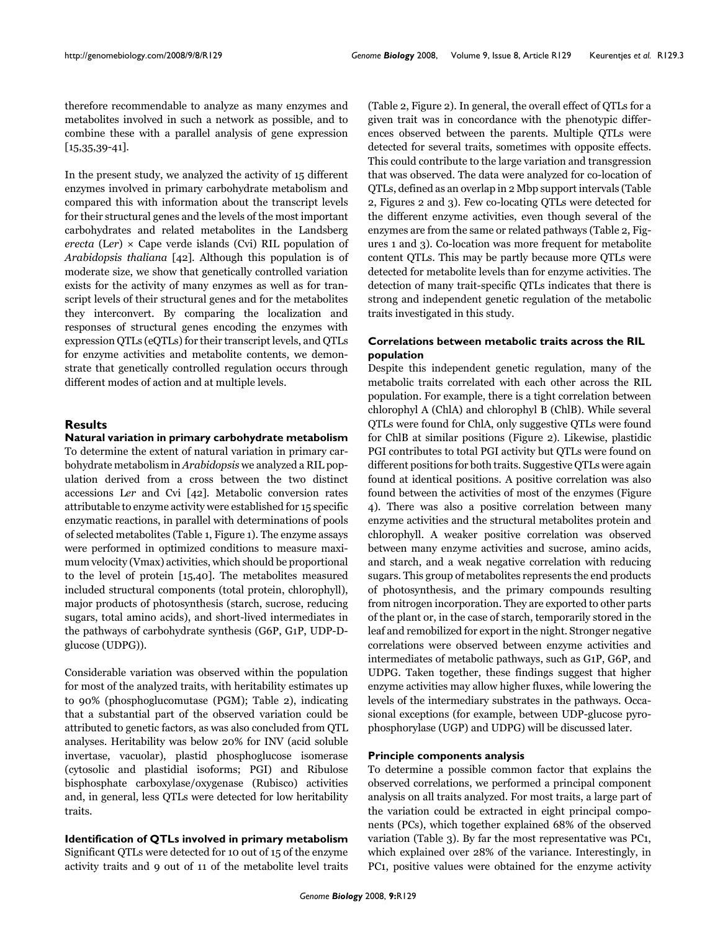therefore recommendable to analyze as many enzymes and metabolites involved in such a network as possible, and to combine these with a parallel analysis of gene expression [15,35,39-41].

In the present study, we analyzed the activity of 15 different enzymes involved in primary carbohydrate metabolism and compared this with information about the transcript levels for their structural genes and the levels of the most important carbohydrates and related metabolites in the Landsberg *erecta* (L*er*) × Cape verde islands (Cvi) RIL population of *Arabidopsis thaliana* [42]. Although this population is of moderate size, we show that genetically controlled variation exists for the activity of many enzymes as well as for transcript levels of their structural genes and for the metabolites they interconvert. By comparing the localization and responses of structural genes encoding the enzymes with expression QTLs (eQTLs) for their transcript levels, and QTLs for enzyme activities and metabolite contents, we demonstrate that genetically controlled regulation occurs through different modes of action and at multiple levels.

## **Results**

**Natural variation in primary carbohydrate metabolism** To determine the extent of natural variation in primary carbohydrate metabolism in *Arabidopsis* we analyzed a RIL population derived from a cross between the two distinct accessions L*er* and Cvi [42]. Metabolic conversion rates attributable to enzyme activity were established for 15 specific enzymatic reactions, in parallel with determinations of pools of selected metabolites (Table [1](#page-4-0), Figure [1\)](#page-3-0). The enzyme assays were performed in optimized conditions to measure maximum velocity (Vmax) activities, which should be proportional to the level of protein [15,40]. The metabolites measured included structural components (total protein, chlorophyll), major products of photosynthesis (starch, sucrose, reducing sugars, total amino acids), and short-lived intermediates in the pathways of carbohydrate synthesis (G6P, G1P, UDP-Dglucose (UDPG)).

Considerable variation was observed within the population for most of the analyzed traits, with heritability estimates up to 90% (phosphoglucomutase (PGM); Table [2](#page-5-0)), indicating that a substantial part of the observed variation could be attributed to genetic factors, as was also concluded from QTL analyses. Heritability was below 20% for INV (acid soluble invertase, vacuolar), plastid phosphoglucose isomerase (cytosolic and plastidial isoforms; PGI) and Ribulose bisphosphate carboxylase/oxygenase (Rubisco) activities and, in general, less QTLs were detected for low heritability traits.

**Identification of QTLs involved in primary metabolism** Significant QTLs were detected for 10 out of 15 of the enzyme activity traits and 9 out of 11 of the metabolite level traits

(Table [2,](#page-5-0) Figure [2\)](#page-7-0). In general, the overall effect of QTLs for a given trait was in concordance with the phenotypic differences observed between the parents. Multiple QTLs were detected for several traits, sometimes with opposite effects. This could contribute to the large variation and transgression that was observed. The data were analyzed for co-location of QTLs, defined as an overlap in 2 Mbp support intervals (Table [2](#page-5-0), Figures [2](#page-7-0) and [3](#page-8-0)). Few co-locating QTLs were detected for the different enzyme activities, even though several of the enzymes are from the same or related pathways (Table [2,](#page-5-0) Figures [1](#page-3-0) and [3](#page-8-0)). Co-location was more frequent for metabolite content QTLs. This may be partly because more QTLs were detected for metabolite levels than for enzyme activities. The detection of many trait-specific QTLs indicates that there is strong and independent genetic regulation of the metabolic traits investigated in this study.

# **Correlations between metabolic traits across the RIL population**

Despite this independent genetic regulation, many of the metabolic traits correlated with each other across the RIL population. For example, there is a tight correlation between chlorophyl A (ChlA) and chlorophyl B (ChlB). While several QTLs were found for ChlA, only suggestive QTLs were found for ChlB at similar positions (Figure [2\)](#page-7-0). Likewise, plastidic PGI contributes to total PGI activity but QTLs were found on different positions for both traits. Suggestive QTLs were again found at identical positions. A positive correlation was also found between the activities of most of the enzymes (Figure 4). There was also a positive correlation between many enzyme activities and the structural metabolites protein and chlorophyll. A weaker positive correlation was observed between many enzyme activities and sucrose, amino acids, and starch, and a weak negative correlation with reducing sugars. This group of metabolites represents the end products of photosynthesis, and the primary compounds resulting from nitrogen incorporation. They are exported to other parts of the plant or, in the case of starch, temporarily stored in the leaf and remobilized for export in the night. Stronger negative correlations were observed between enzyme activities and intermediates of metabolic pathways, such as G1P, G6P, and UDPG. Taken together, these findings suggest that higher enzyme activities may allow higher fluxes, while lowering the levels of the intermediary substrates in the pathways. Occasional exceptions (for example, between UDP-glucose pyrophosphorylase (UGP) and UDPG) will be discussed later.

# **Principle components analysis**

To determine a possible common factor that explains the observed correlations, we performed a principal component analysis on all traits analyzed. For most traits, a large part of the variation could be extracted in eight principal components (PCs), which together explained 68% of the observed variation (Table [3\)](#page-10-0). By far the most representative was PC1, which explained over 28% of the variance. Interestingly, in PC1, positive values were obtained for the enzyme activity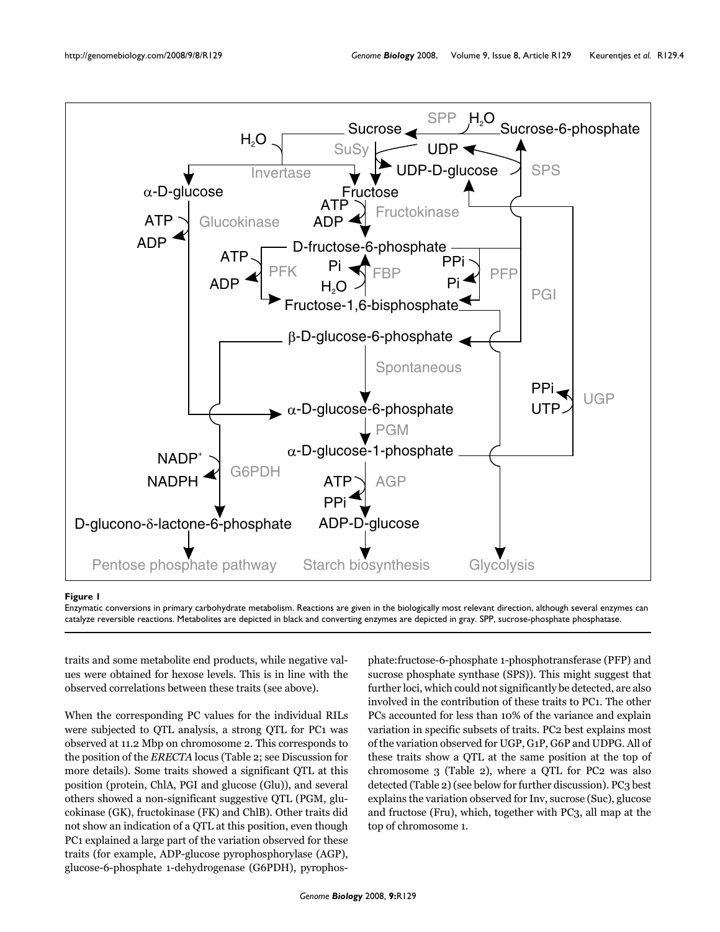<span id="page-3-0"></span>

Enzymatic conversions in primary carbohydrate metabolism. Reactions are given in the biologically most relevant direction, although several enzymes can catalyze reversible reactions. Metabolites are depicted in black and converting enzymes are depicted in gray. SPP, sucrose-phosphate phosphatase.

traits and some metabolite end products, while negative values were obtained for hexose levels. This is in line with the observed correlations between these traits (see above).

When the corresponding PC values for the individual RILs were subjected to QTL analysis, a strong QTL for PC1 was observed at 11.2 Mbp on chromosome 2. This corresponds to the position of the *ERECTA* locus (Table [2](#page-5-0); see Discussion for more details). Some traits showed a significant QTL at this position (protein, ChlA, PGI and glucose (Glu)), and several others showed a non-significant suggestive QTL (PGM, glucokinase (GK), fructokinase (FK) and ChlB). Other traits did not show an indication of a QTL at this position, even though PC1 explained a large part of the variation observed for these traits (for example, ADP-glucose pyrophosphorylase (AGP), glucose-6-phosphate 1-dehydrogenase (G6PDH), pyrophosphate:fructose-6-phosphate 1-phosphotransferase (PFP) and sucrose phosphate synthase (SPS)). This might suggest that further loci, which could not significantly be detected, are also involved in the contribution of these traits to PC1. The other PCs accounted for less than 10% of the variance and explain variation in specific subsets of traits. PC2 best explains most of the variation observed for UGP, G1P, G6P and UDPG. All of these traits show a QTL at the same position at the top of chromosome 3 (Table [2](#page-5-0)), where a QTL for PC2 was also detected (Table [2](#page-5-0)) (see below for further discussion). PC3 best explains the variation observed for Inv, sucrose (Suc), glucose and fructose (Fru), which, together with PC3, all map at the top of chromosome 1.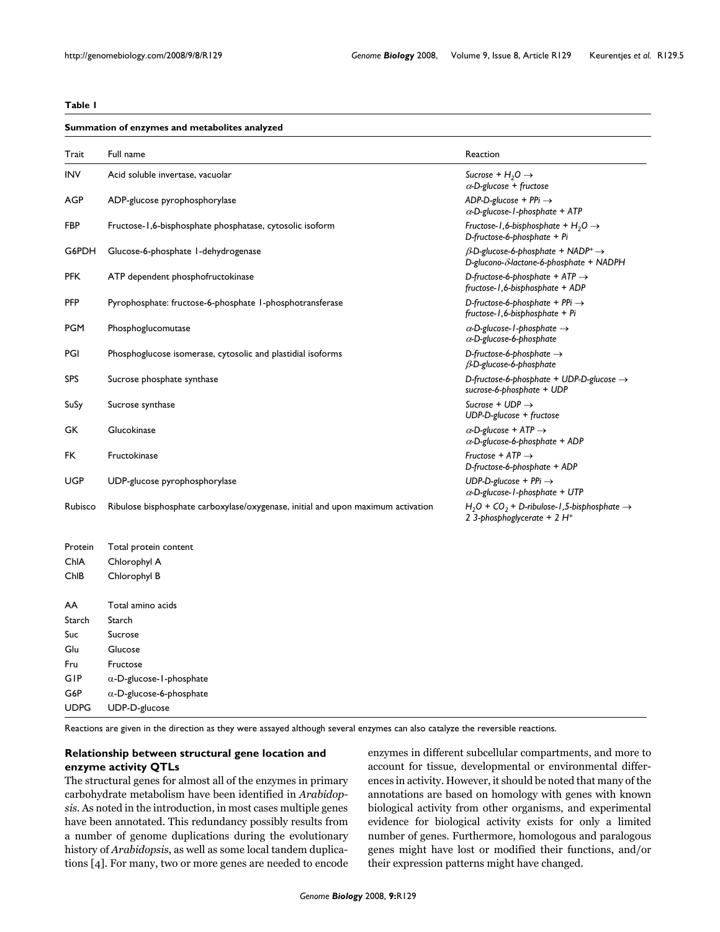# <span id="page-4-0"></span>**Table 1**

#### **Summation of enzymes and metabolites analyzed**

| Trait       | Full name                                                                        | Reaction                                                                                                        |
|-------------|----------------------------------------------------------------------------------|-----------------------------------------------------------------------------------------------------------------|
| <b>INV</b>  | Acid soluble invertase, vacuolar                                                 | Sucrose + $H_2O \rightarrow$<br>$\alpha$ -D-glucose + fructose                                                  |
| AGP         | ADP-glucose pyrophosphorylase                                                    | ADP-D-glucose + PPi $\rightarrow$<br>$\alpha$ -D-glucose-1-phosphate + ATP                                      |
| FBP         | Fructose-1,6-bisphosphate phosphatase, cytosolic isoform                         | Fructose-1,6-bisphosphate + $H_2O \rightarrow$<br>D-fructose-6-phosphate + Pi                                   |
| G6PDH       | Glucose-6-phosphate 1-dehydrogenase                                              | $\beta$ -D-glucose-6-phosphate + NADP+ $\rightarrow$<br>D-glucono- $\delta$ -lactone-6-phosphate + NADPH        |
| <b>PFK</b>  | ATP dependent phosphofructokinase                                                | D-fructose-6-phosphate + ATP $\rightarrow$<br>fructose-1,6-bisphosphate + ADP                                   |
| PFP         | Pyrophosphate: fructose-6-phosphate 1-phosphotransferase                         | D-fructose-6-phosphate + PPi $\rightarrow$<br>fructose-1,6-bisphosphate + Pi                                    |
| <b>PGM</b>  | Phosphoglucomutase                                                               | $\alpha$ -D-glucose-1-phosphate $\rightarrow$<br>$\alpha$ -D-glucose-6-phosphate                                |
| PGI         | Phosphoglucose isomerase, cytosolic and plastidial isoforms                      | D-fructose-6-phosphate $\rightarrow$<br>$\beta$ -D-glucose-6-phosphate                                          |
| <b>SPS</b>  | Sucrose phosphate synthase                                                       | D-fructose-6-phosphate + UDP-D-glucose $\rightarrow$<br>sucrose-6-phosphate + UDP                               |
| SuSy        | Sucrose synthase                                                                 | Sucrose + $UDP \rightarrow$<br>$UDP-D-glucose + fructose$                                                       |
| GK          | Glucokinase                                                                      | $\alpha$ -D-glucose + ATP $\rightarrow$<br>$\alpha$ -D-glucose-6-phosphate + ADP                                |
| FK.         | Fructokinase                                                                     | Fructose + $ATP \rightarrow$<br>D-fructose-6-phosphate + ADP                                                    |
| UGP         | UDP-glucose pyrophosphorylase                                                    | UDP-D-glucose + PPi $\rightarrow$<br>$\alpha$ -D-glucose-1-phosphate + UTP                                      |
| Rubisco     | Ribulose bisphosphate carboxylase/oxygenase, initial and upon maximum activation | $H_2O$ + CO <sub>2</sub> + D-ribulose-1,5-bisphosphate $\rightarrow$<br>2 3-phosphoglycerate + 2 H <sup>+</sup> |
| Protein     | Total protein content                                                            |                                                                                                                 |
| ChIA        | Chlorophyl A                                                                     |                                                                                                                 |
| ChIB        | Chlorophyl B                                                                     |                                                                                                                 |
| AA          | Total amino acids                                                                |                                                                                                                 |
| Starch      | Starch                                                                           |                                                                                                                 |
| Suc         | Sucrose                                                                          |                                                                                                                 |
| Glu         | Glucose                                                                          |                                                                                                                 |
| Fru         | Fructose                                                                         |                                                                                                                 |
| GIP         | $\alpha$ -D-glucose-1-phosphate                                                  |                                                                                                                 |
| G6P         | $\alpha$ -D-glucose-6-phosphate                                                  |                                                                                                                 |
| <b>UDPG</b> | UDP-D-glucose                                                                    |                                                                                                                 |

Reactions are given in the direction as they were assayed although several enzymes can also catalyze the reversible reactions.

# **Relationship between structural gene location and enzyme activity QTLs**

The structural genes for almost all of the enzymes in primary carbohydrate metabolism have been identified in *Arabidopsis*. As noted in the introduction, in most cases multiple genes have been annotated. This redundancy possibly results from a number of genome duplications during the evolutionary history of *Arabidopsis*, as well as some local tandem duplications [4]. For many, two or more genes are needed to encode

enzymes in different subcellular compartments, and more to account for tissue, developmental or environmental differences in activity. However, it should be noted that many of the annotations are based on homology with genes with known biological activity from other organisms, and experimental evidence for biological activity exists for only a limited number of genes. Furthermore, homologous and paralogous genes might have lost or modified their functions, and/or their expression patterns might have changed.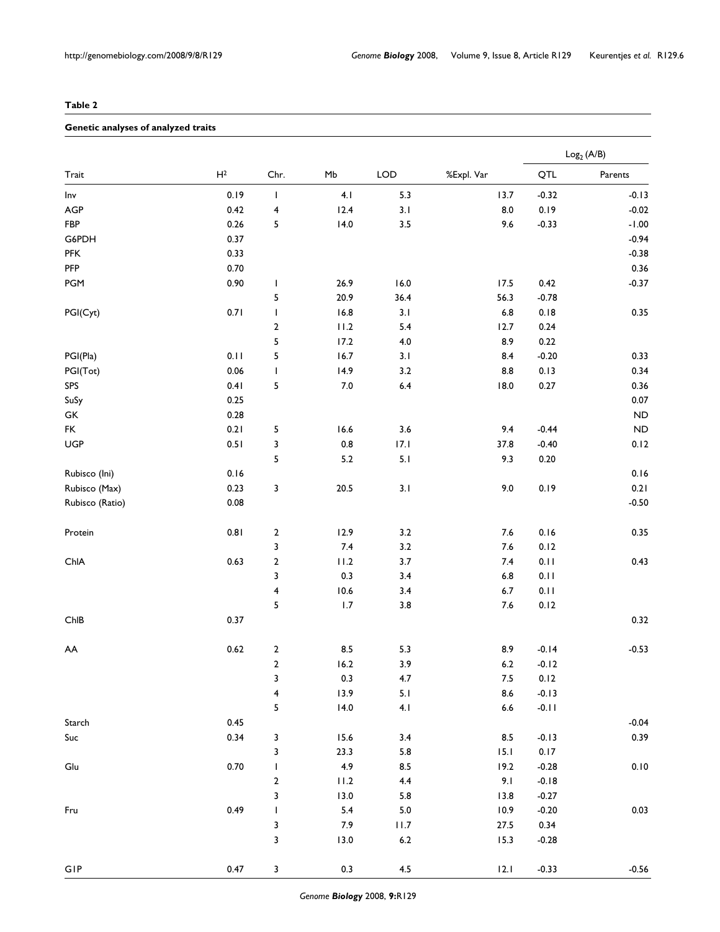# <span id="page-5-0"></span>**Table 2**

# **Genetic analyses of analyzed traits**

|                 |                |                         |          |           |            |         | Log <sub>2</sub> (A/B) |
|-----------------|----------------|-------------------------|----------|-----------|------------|---------|------------------------|
| Trait           | H <sup>2</sup> | Chr.                    | Mb       | LOD       | %Expl. Var | QTL     | Parents                |
| $\mathsf{Inv}$  | 0.19           | $\mathbf{I}$            | 4.1      | 5.3       | 13.7       | $-0.32$ | $-0.13$                |
| AGP             | 0.42           | 4                       | 12.4     | 3.1       | $8.0\,$    | 0.19    | $-0.02$                |
| FBP             | 0.26           | 5                       | 14.0     | 3.5       | 9.6        | $-0.33$ | $-1.00$                |
| G6PDH           | 0.37           |                         |          |           |            |         | $-0.94$                |
| PFK             | 0.33           |                         |          |           |            |         | $-0.38$                |
| PFP             | 0.70           |                         |          |           |            |         | 0.36                   |
| PGM             | 0.90           | $\mathsf{I}$            | 26.9     | 16.0      | 17.5       | 0.42    | $-0.37$                |
|                 |                | 5                       | 20.9     | 36.4      | 56.3       | $-0.78$ |                        |
| PGI(Cyt)        | 0.71           | T                       | 16.8     | 3.1       | $6.8\,$    | 0.18    | 0.35                   |
|                 |                | $\overline{2}$          | 11.2     | 5.4       | 12.7       | 0.24    |                        |
|                 |                | 5                       | $17.2\,$ | $4.0\,$   | 8.9        | 0.22    |                        |
| PGI(Pla)        | 0.11           | 5                       | 16.7     | 3.1       | 8.4        | $-0.20$ | 0.33                   |
| PGI(Tot)        | 0.06           | $\mathbf{I}$            | 14.9     | 3.2       | $8.8\,$    | 0.13    | 0.34                   |
| SPS             | 0.41           | 5                       | $7.0$    | $6.4\,$   | 18.0       | 0.27    | 0.36                   |
| SuSy            | 0.25           |                         |          |           |            |         | 0.07                   |
| ${\sf GK}$      | 0.28           |                         |          |           |            |         | ${\sf ND}$             |
| <b>FK</b>       | 0.21           | 5                       | 16.6     | 3.6       | 9.4        | $-0.44$ | ND                     |
| <b>UGP</b>      | 0.51           | 3                       | $0.8\,$  | 17.1      | 37.8       | $-0.40$ | 0.12                   |
|                 |                | 5                       | 5.2      | 5.1       | 9.3        | 0.20    |                        |
| Rubisco (Ini)   | 0.16           |                         |          |           |            |         | 0.16                   |
| Rubisco (Max)   | 0.23           | 3                       | 20.5     | 3.1       | 9.0        | 0.19    | 0.21                   |
| Rubisco (Ratio) | 0.08           |                         |          |           |            |         | $-0.50$                |
| Protein         | 0.81           | $\mathbf{2}$            | 12.9     | 3.2       | 7.6        | 0.16    | 0.35                   |
|                 |                | 3                       | 7.4      | 3.2       | $7.6$      | 0.12    |                        |
| ChIA            | 0.63           | $\mathbf{2}$            | 11.2     | 3.7       | 7.4        | 0.11    | 0.43                   |
|                 |                | 3                       | 0.3      | 3.4       | $6.8\,$    | 0.11    |                        |
|                 |                | $\overline{\mathbf{4}}$ | 10.6     | 3.4       | $6.7\,$    | 0.11    |                        |
|                 |                | 5                       | 1.7      | 3.8       | 7.6        | 0.12    |                        |
| ChIB            | 0.37           |                         |          |           |            |         | 0.32                   |
| AA              | 0.62           | $\mathbf{2}$            | 8.5      | 5.3       | 8.9        | $-0.14$ | $-0.53$                |
|                 |                | 2                       | 16.2     | 3.9       | 6.2        | $-0.12$ |                        |
|                 |                | 3                       | 0.3      | 4.7       | 7.5        | 0.12    |                        |
|                 |                | $\overline{\mathbf{4}}$ | 13.9     | 5.1       | $8.6\,$    | $-0.13$ |                        |
|                 |                | 5                       | 14.0     | 4.1       | $6.6\,$    | $-0.11$ |                        |
| Starch          | 0.45           |                         |          |           |            |         | $-0.04$                |
| Suc             | 0.34           | 3                       | 15.6     | 3.4       | 8.5        | $-0.13$ | 0.39                   |
|                 |                | 3                       | 23.3     | 5.8       | 15.1       | 0.17    |                        |
| Glu             | 0.70           | $\mathbf{I}$            | 4.9      | $\bf 8.5$ | 19.2       | $-0.28$ | 0.10                   |
|                 |                | $\mathbf{2}$            | 11.2     | 4.4       | 9.1        | $-0.18$ |                        |
|                 |                | 3                       | 13.0     | 5.8       | 13.8       | $-0.27$ |                        |
| Fru             | 0.49           | $\mathbf{I}$            | $5.4\,$  | $5.0\,$   | 10.9       | $-0.20$ | 0.03                   |
|                 |                | 3                       | 7.9      | $11.7$    | 27.5       | 0.34    |                        |
|                 |                | 3                       | 13.0     | $6.2\,$   | 15.3       | $-0.28$ |                        |
|                 |                |                         |          |           |            |         |                        |
| GIP             | 0.47           | 3                       | 0.3      | 4.5       | $ 2.1$     | $-0.33$ | $-0.56$                |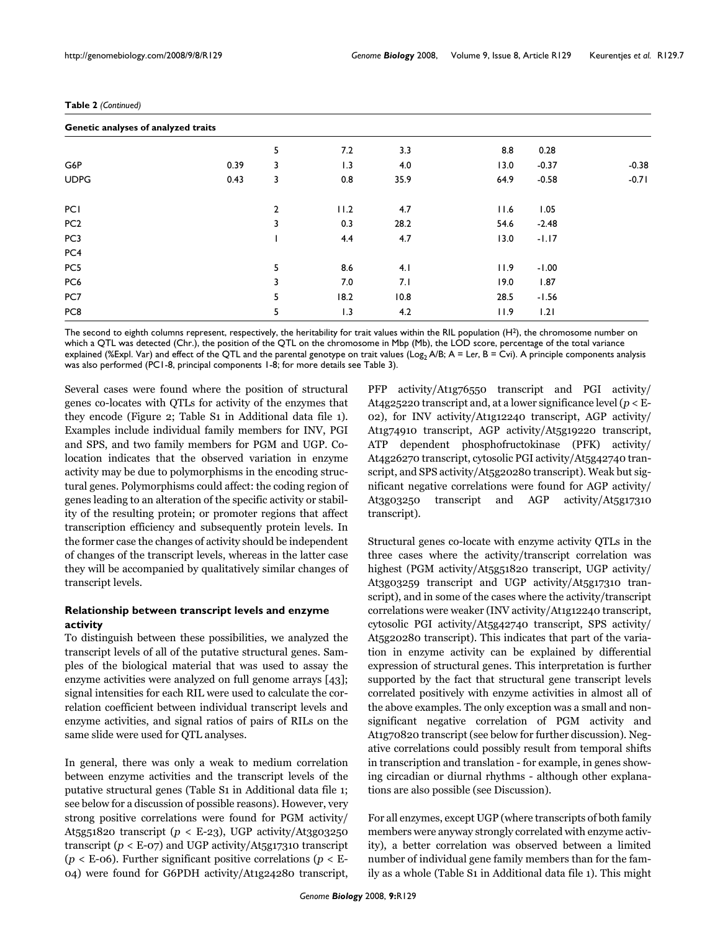| $\mathbf{v}$<br>$\overline{\phantom{a}}$ |      |                |      |      |      |         |         |  |
|------------------------------------------|------|----------------|------|------|------|---------|---------|--|
| Genetic analyses of analyzed traits      |      |                |      |      |      |         |         |  |
|                                          |      | 5              | 7.2  | 3.3  | 8.8  | 0.28    |         |  |
| G6P                                      | 0.39 | 3              | 1.3  | 4.0  | 13.0 | $-0.37$ | $-0.38$ |  |
| <b>UDPG</b>                              | 0.43 | 3              | 0.8  | 35.9 | 64.9 | $-0.58$ | $-0.71$ |  |
| PCI                                      |      | $\overline{2}$ | 11.2 | 4.7  | 11.6 | 1.05    |         |  |
| PC <sub>2</sub>                          |      | 3              | 0.3  | 28.2 | 54.6 | $-2.48$ |         |  |
| PC3                                      |      |                | 4.4  | 4.7  | 13.0 | $-1.17$ |         |  |
| PC4                                      |      |                |      |      |      |         |         |  |
| PC <sub>5</sub>                          |      | 5              | 8.6  | 4.1  | 11.9 | $-1.00$ |         |  |
| PC <sub>6</sub>                          |      | 3              | 7.0  | 7.1  | 19.0 | 1.87    |         |  |
| PC7                                      |      | 5              | 18.2 | 10.8 | 28.5 | $-1.56$ |         |  |
| PC8                                      |      | 5              | 1.3  | 4.2  | 11.9 | 1.21    |         |  |

#### **Table 2** *(Continued)*

The second to eighth columns represent, respectively, the heritability for trait values within the RIL population (H2), the chromosome number on which a QTL was detected (Chr.), the position of the QTL on the chromosome in Mbp (Mb), the LOD score, percentage of the total variance explained (%Expl. Var) and effect of the QTL and the parental genotype on trait values (Log<sub>2</sub> A/B; A = Ler, B = Cvi). A principle components analysis was also performed (PC1-8, principal components 1-8; for more details see Table 3).

Several cases were found where the position of structural genes co-locates with QTLs for activity of the enzymes that they encode (Figure [2](#page-7-0); Table S1 in Additional data file 1). Examples include individual family members for INV, PGI and SPS, and two family members for PGM and UGP. Colocation indicates that the observed variation in enzyme activity may be due to polymorphisms in the encoding structural genes. Polymorphisms could affect: the coding region of genes leading to an alteration of the specific activity or stability of the resulting protein; or promoter regions that affect transcription efficiency and subsequently protein levels. In the former case the changes of activity should be independent of changes of the transcript levels, whereas in the latter case they will be accompanied by qualitatively similar changes of transcript levels.

# **Relationship between transcript levels and enzyme activity**

To distinguish between these possibilities, we analyzed the transcript levels of all of the putative structural genes. Samples of the biological material that was used to assay the enzyme activities were analyzed on full genome arrays [43]; signal intensities for each RIL were used to calculate the correlation coefficient between individual transcript levels and enzyme activities, and signal ratios of pairs of RILs on the same slide were used for QTL analyses.

In general, there was only a weak to medium correlation between enzyme activities and the transcript levels of the putative structural genes (Table S1 in Additional data file 1; see below for a discussion of possible reasons). However, very strong positive correlations were found for PGM activity/ At5g51820 transcript (*p* < E-23), UGP activity/At3g03250 transcript ( $p < E$ -07) and UGP activity/At5g17310 transcript (*p* < E-06). Further significant positive correlations (*p* < E-04) were found for G6PDH activity/At1g24280 transcript,

PFP activity/At1g76550 transcript and PGI activity/ At4g25220 transcript and, at a lower significance level (*p* < E-02), for INV activity/At1g12240 transcript, AGP activity/ At1g74910 transcript, AGP activity/At5g19220 transcript, ATP dependent phosphofructokinase (PFK) activity/ At4g26270 transcript, cytosolic PGI activity/At5g42740 transcript, and SPS activity/At5g20280 transcript). Weak but significant negative correlations were found for AGP activity/ At3g03250 transcript and AGP activity/At5g17310 transcript).

Structural genes co-locate with enzyme activity QTLs in the three cases where the activity/transcript correlation was highest (PGM activity/At5g51820 transcript, UGP activity/ At3g03259 transcript and UGP activity/At5g17310 transcript), and in some of the cases where the activity/transcript correlations were weaker (INV activity/At1g12240 transcript, cytosolic PGI activity/At5g42740 transcript, SPS activity/ At5g20280 transcript). This indicates that part of the variation in enzyme activity can be explained by differential expression of structural genes. This interpretation is further supported by the fact that structural gene transcript levels correlated positively with enzyme activities in almost all of the above examples. The only exception was a small and nonsignificant negative correlation of PGM activity and At1g70820 transcript (see below for further discussion). Negative correlations could possibly result from temporal shifts in transcription and translation - for example, in genes showing circadian or diurnal rhythms - although other explanations are also possible (see Discussion).

For all enzymes, except UGP (where transcripts of both family members were anyway strongly correlated with enzyme activity), a better correlation was observed between a limited number of individual gene family members than for the family as a whole (Table S1 in Additional data file 1). This might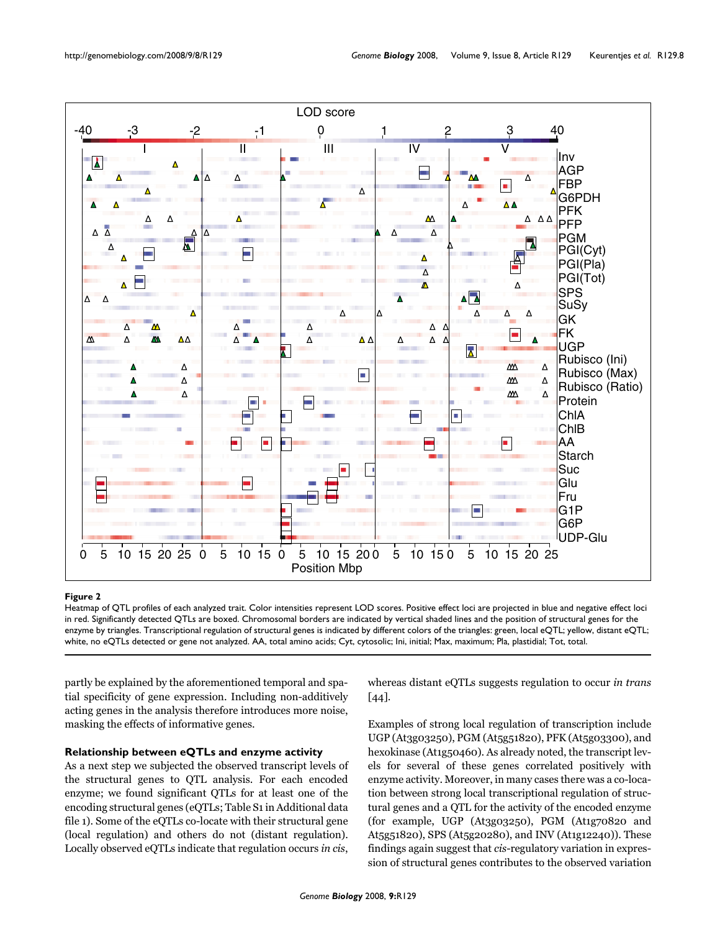<span id="page-7-0"></span>

Heatmap of QTL profiles of each analyzed trait. Color intensities represent LOD scores. Positive effect loci are projected in blue and negative effect loci in red. Significantly detected QTLs are boxed. Chromosomal borders are indicated by vertical shaded lines and the position of structural genes for the enzyme by triangles. Transcriptional regulation of structural genes is indicated by different colors of the triangles: green, local eQTL; yellow, distant eQTL; white, no eQTLs detected or gene not analyzed. AA, total amino acids; Cyt, cytosolic; Ini, initial; Max, maximum; Pla, plastidial; Tot, total.

partly be explained by the aforementioned temporal and spatial specificity of gene expression. Including non-additively acting genes in the analysis therefore introduces more noise, masking the effects of informative genes.

#### **Relationship between eQTLs and enzyme activity**

As a next step we subjected the observed transcript levels of the structural genes to QTL analysis. For each encoded enzyme; we found significant QTLs for at least one of the encoding structural genes (eQTLs; Table S1 in Additional data file 1). Some of the eQTLs co-locate with their structural gene (local regulation) and others do not (distant regulation). Locally observed eQTLs indicate that regulation occurs *in cis*,

whereas distant eQTLs suggests regulation to occur *in trans* [44].

Examples of strong local regulation of transcription include UGP (At3g03250), PGM (At5g51820), PFK (At5g03300), and hexokinase (At1g50460). As already noted, the transcript levels for several of these genes correlated positively with enzyme activity. Moreover, in many cases there was a co-location between strong local transcriptional regulation of structural genes and a QTL for the activity of the encoded enzyme (for example, UGP (At3g03250), PGM (At1g70820 and At5g51820), SPS (At5g20280), and INV (At1g12240)). These findings again suggest that *cis*-regulatory variation in expression of structural genes contributes to the observed variation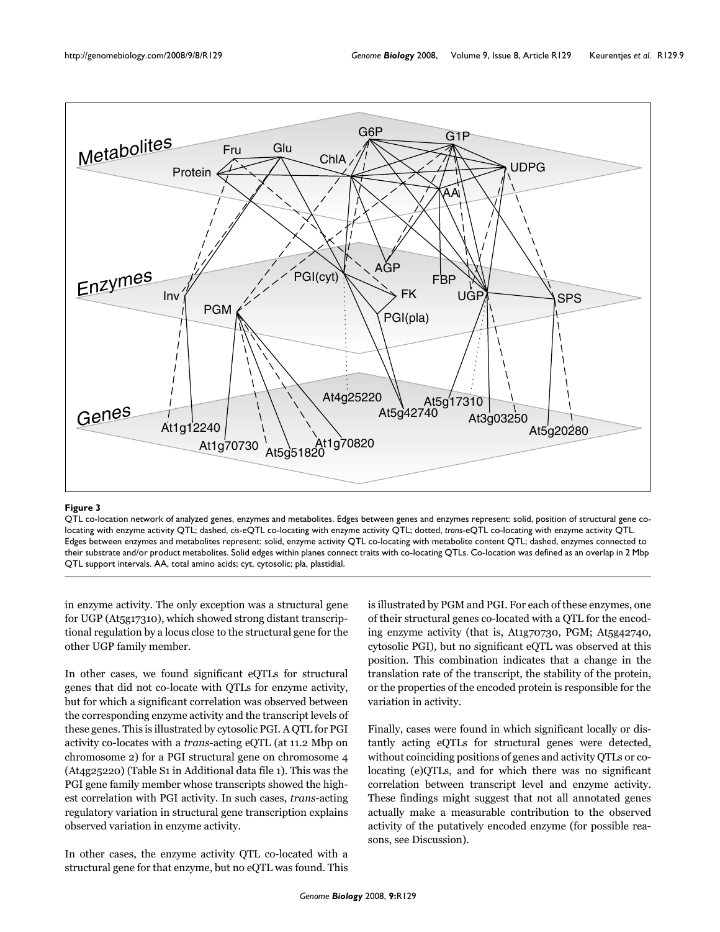<span id="page-8-0"></span>

QTL co-location network of analyzed genes, enzymes and metabolites. Edges between genes and enzymes represent: solid, position of structural gene colocating with enzyme activity QTL; dashed, *cis*-eQTL co-locating with enzyme activity QTL; dotted, *trans*-eQTL co-locating with enzyme activity QTL. Edges between enzymes and metabolites represent: solid, enzyme activity QTL co-locating with metabolite content QTL; dashed, enzymes connected to their substrate and/or product metabolites. Solid edges within planes connect traits with co-locating QTLs. Co-location was defined as an overlap in 2 Mbp QTL support intervals. AA, total amino acids; cyt, cytosolic; pla, plastidial.

in enzyme activity. The only exception was a structural gene for UGP (At5g17310), which showed strong distant transcriptional regulation by a locus close to the structural gene for the other UGP family member.

In other cases, we found significant eQTLs for structural genes that did not co-locate with QTLs for enzyme activity, but for which a significant correlation was observed between the corresponding enzyme activity and the transcript levels of these genes. This is illustrated by cytosolic PGI. A QTL for PGI activity co-locates with a *trans*-acting eQTL (at 11.2 Mbp on chromosome 2) for a PGI structural gene on chromosome 4 (At4g25220) (Table S1 in Additional data file 1). This was the PGI gene family member whose transcripts showed the highest correlation with PGI activity. In such cases, *trans*-acting regulatory variation in structural gene transcription explains observed variation in enzyme activity.

In other cases, the enzyme activity QTL co-located with a structural gene for that enzyme, but no eQTL was found. This is illustrated by PGM and PGI. For each of these enzymes, one of their structural genes co-located with a QTL for the encoding enzyme activity (that is, At1g70730, PGM; At5g42740, cytosolic PGI), but no significant eQTL was observed at this position. This combination indicates that a change in the translation rate of the transcript, the stability of the protein, or the properties of the encoded protein is responsible for the variation in activity.

Finally, cases were found in which significant locally or distantly acting eQTLs for structural genes were detected, without coinciding positions of genes and activity QTLs or colocating (e)QTLs, and for which there was no significant correlation between transcript level and enzyme activity. These findings might suggest that not all annotated genes actually make a measurable contribution to the observed activity of the putatively encoded enzyme (for possible reasons, see Discussion).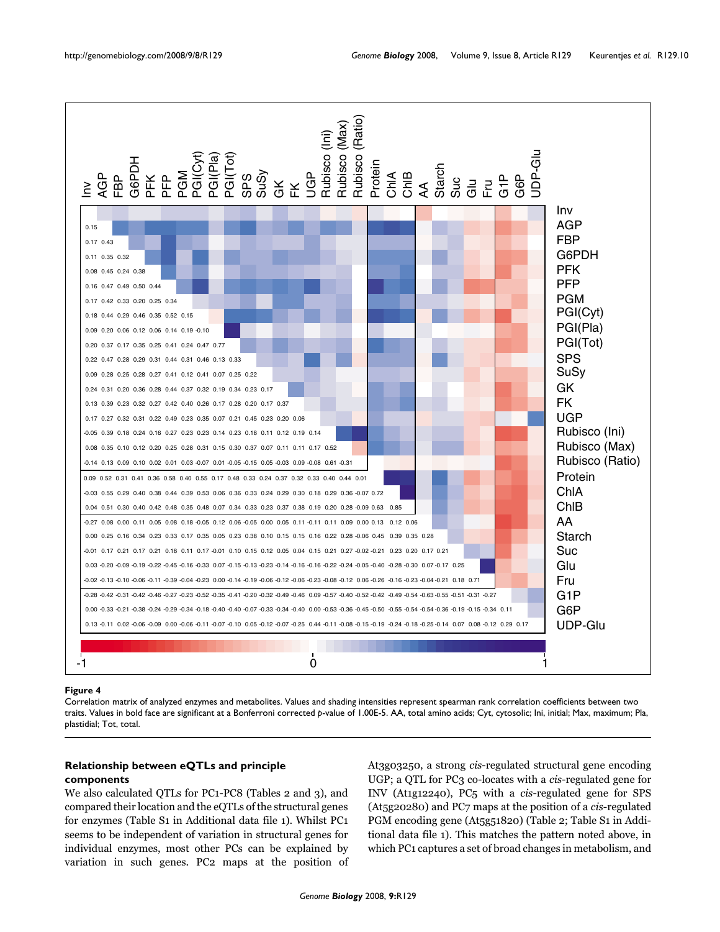

Correlation matrix of analyzed enzymes and metabolites. Values and shading intensities represent spearman rank correlation coefficients between two traits. Values in bold face are significant at a Bonferroni corrected *p*-value of 1.00E-5. AA, total amino acids; Cyt, cytosolic; Ini, initial; Max, maximum; Pla, plastidial; Tot, total.

# **Relationship between eQTLs and principle components**

We also calculated QTLs for PC1-PC8 (Tables [2](#page-5-0) and [3](#page-10-0)), and compared their location and the eQTLs of the structural genes for enzymes (Table S1 in Additional data file 1). Whilst PC1 seems to be independent of variation in structural genes for individual enzymes, most other PCs can be explained by variation in such genes. PC2 maps at the position of At3g03250, a strong *cis*-regulated structural gene encoding UGP; a QTL for PC3 co-locates with a *cis*-regulated gene for INV (At1g12240), PC5 with a *cis*-regulated gene for SPS (At5g20280) and PC7 maps at the position of a *cis*-regulated PGM encoding gene (At5g51820) (Table [2](#page-5-0); Table S1 in Additional data file 1). This matches the pattern noted above, in which PC1 captures a set of broad changes in metabolism, and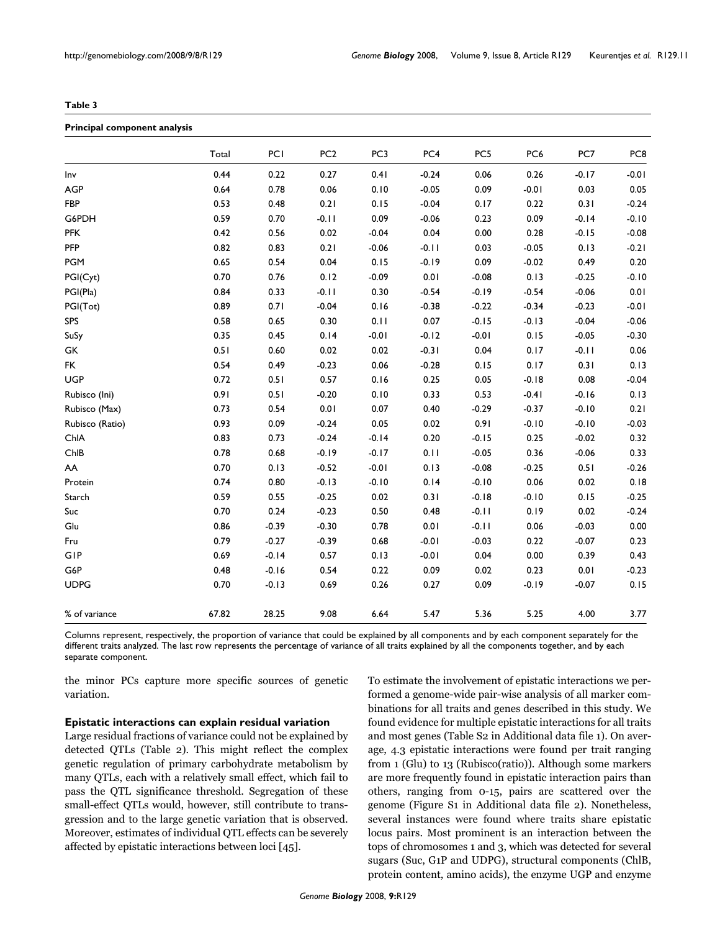# <span id="page-10-0"></span>**Table 3**

|  | Principal component analysis |  |
|--|------------------------------|--|
|--|------------------------------|--|

|                               | Total | PCI     | PC <sub>2</sub> | PC3     | PC4     | PC <sub>5</sub> | PC <sub>6</sub> | PC7     | PC8     |
|-------------------------------|-------|---------|-----------------|---------|---------|-----------------|-----------------|---------|---------|
| Inv                           | 0.44  | 0.22    | 0.27            | 0.41    | $-0.24$ | 0.06            | 0.26            | $-0.17$ | $-0.01$ |
| <b>AGP</b>                    | 0.64  | 0.78    | 0.06            | 0.10    | $-0.05$ | 0.09            | $-0.01$         | 0.03    | 0.05    |
| <b>FBP</b>                    | 0.53  | 0.48    | 0.21            | 0.15    | $-0.04$ | 0.17            | 0.22            | 0.31    | $-0.24$ |
| G6PDH                         | 0.59  | 0.70    | $-0.11$         | 0.09    | $-0.06$ | 0.23            | 0.09            | $-0.14$ | $-0.10$ |
| <b>PFK</b>                    | 0.42  | 0.56    | 0.02            | $-0.04$ | 0.04    | 0.00            | 0.28            | $-0.15$ | $-0.08$ |
| <b>PFP</b>                    | 0.82  | 0.83    | 0.21            | $-0.06$ | $-0.11$ | 0.03            | $-0.05$         | 0.13    | $-0.21$ |
| <b>PGM</b>                    | 0.65  | 0.54    | 0.04            | 0.15    | $-0.19$ | 0.09            | $-0.02$         | 0.49    | 0.20    |
| PGI(Cyt)                      | 0.70  | 0.76    | 0.12            | $-0.09$ | 0.01    | $-0.08$         | 0.13            | $-0.25$ | $-0.10$ |
| PGI(Pla)                      | 0.84  | 0.33    | $-0.11$         | 0.30    | $-0.54$ | $-0.19$         | $-0.54$         | $-0.06$ | 0.01    |
| PGI(Tot)                      | 0.89  | 0.71    | $-0.04$         | 0.16    | $-0.38$ | $-0.22$         | $-0.34$         | $-0.23$ | $-0.01$ |
| <b>SPS</b>                    | 0.58  | 0.65    | 0.30            | 0.11    | 0.07    | $-0.15$         | $-0.13$         | $-0.04$ | $-0.06$ |
| SuSy                          | 0.35  | 0.45    | 0.14            | $-0.01$ | $-0.12$ | $-0.01$         | 0.15            | $-0.05$ | $-0.30$ |
| GK                            | 0.51  | 0.60    | 0.02            | 0.02    | $-0.31$ | 0.04            | 0.17            | $-0.11$ | 0.06    |
| FK.                           | 0.54  | 0.49    | $-0.23$         | 0.06    | $-0.28$ | 0.15            | 0.17            | 0.31    | 0.13    |
| <b>UGP</b>                    | 0.72  | 0.51    | 0.57            | 0.16    | 0.25    | 0.05            | $-0.18$         | 0.08    | $-0.04$ |
| Rubisco (Ini)                 | 0.91  | 0.51    | $-0.20$         | 0.10    | 0.33    | 0.53            | $-0.41$         | $-0.16$ | 0.13    |
| Rubisco (Max)                 | 0.73  | 0.54    | 0.01            | 0.07    | 0.40    | $-0.29$         | $-0.37$         | $-0.10$ | 0.21    |
| Rubisco (Ratio)               | 0.93  | 0.09    | $-0.24$         | 0.05    | 0.02    | 0.91            | $-0.10$         | $-0.10$ | $-0.03$ |
| ChIA                          | 0.83  | 0.73    | $-0.24$         | $-0.14$ | 0.20    | $-0.15$         | 0.25            | $-0.02$ | 0.32    |
| ChIB                          | 0.78  | 0.68    | $-0.19$         | $-0.17$ | 0.11    | $-0.05$         | 0.36            | $-0.06$ | 0.33    |
| AA                            | 0.70  | 0.13    | $-0.52$         | $-0.01$ | 0.13    | $-0.08$         | $-0.25$         | 0.51    | $-0.26$ |
| Protein                       | 0.74  | 0.80    | $-0.13$         | $-0.10$ | 0.14    | $-0.10$         | 0.06            | 0.02    | 0.18    |
| Starch                        | 0.59  | 0.55    | $-0.25$         | 0.02    | 0.31    | $-0.18$         | $-0.10$         | 0.15    | $-0.25$ |
| $\operatorname{\mathsf{Suc}}$ | 0.70  | 0.24    | $-0.23$         | 0.50    | 0.48    | $-0.11$         | 0.19            | 0.02    | $-0.24$ |
| Glu                           | 0.86  | $-0.39$ | $-0.30$         | 0.78    | 0.01    | $-0.11$         | 0.06            | $-0.03$ | 0.00    |
| Fru                           | 0.79  | $-0.27$ | $-0.39$         | 0.68    | $-0.01$ | $-0.03$         | 0.22            | $-0.07$ | 0.23    |
| GIP                           | 0.69  | $-0.14$ | 0.57            | 0.13    | $-0.01$ | 0.04            | 0.00            | 0.39    | 0.43    |
| G6P                           | 0.48  | $-0.16$ | 0.54            | 0.22    | 0.09    | 0.02            | 0.23            | 0.01    | $-0.23$ |
| <b>UDPG</b>                   | 0.70  | $-0.13$ | 0.69            | 0.26    | 0.27    | 0.09            | $-0.19$         | $-0.07$ | 0.15    |
| % of variance                 | 67.82 | 28.25   | 9.08            | 6.64    | 5.47    | 5.36            | 5.25            | 4.00    | 3.77    |

Columns represent, respectively, the proportion of variance that could be explained by all components and by each component separately for the different traits analyzed. The last row represents the percentage of variance of all traits explained by all the components together, and by each separate component.

the minor PCs capture more specific sources of genetic variation.

#### **Epistatic interactions can explain residual variation**

Large residual fractions of variance could not be explained by detected QTLs (Table [2\)](#page-5-0). This might reflect the complex genetic regulation of primary carbohydrate metabolism by many QTLs, each with a relatively small effect, which fail to pass the QTL significance threshold. Segregation of these small-effect QTLs would, however, still contribute to transgression and to the large genetic variation that is observed. Moreover, estimates of individual QTL effects can be severely affected by epistatic interactions between loci [45].

To estimate the involvement of epistatic interactions we performed a genome-wide pair-wise analysis of all marker combinations for all traits and genes described in this study. We found evidence for multiple epistatic interactions for all traits and most genes (Table S2 in Additional data file 1). On average, 4.3 epistatic interactions were found per trait ranging from 1 (Glu) to 13 (Rubisco(ratio)). Although some markers are more frequently found in epistatic interaction pairs than others, ranging from 0-15, pairs are scattered over the genome (Figure S1 in Additional data file 2). Nonetheless, several instances were found where traits share epistatic locus pairs. Most prominent is an interaction between the tops of chromosomes 1 and 3, which was detected for several sugars (Suc, G1P and UDPG), structural components (ChlB, protein content, amino acids), the enzyme UGP and enzyme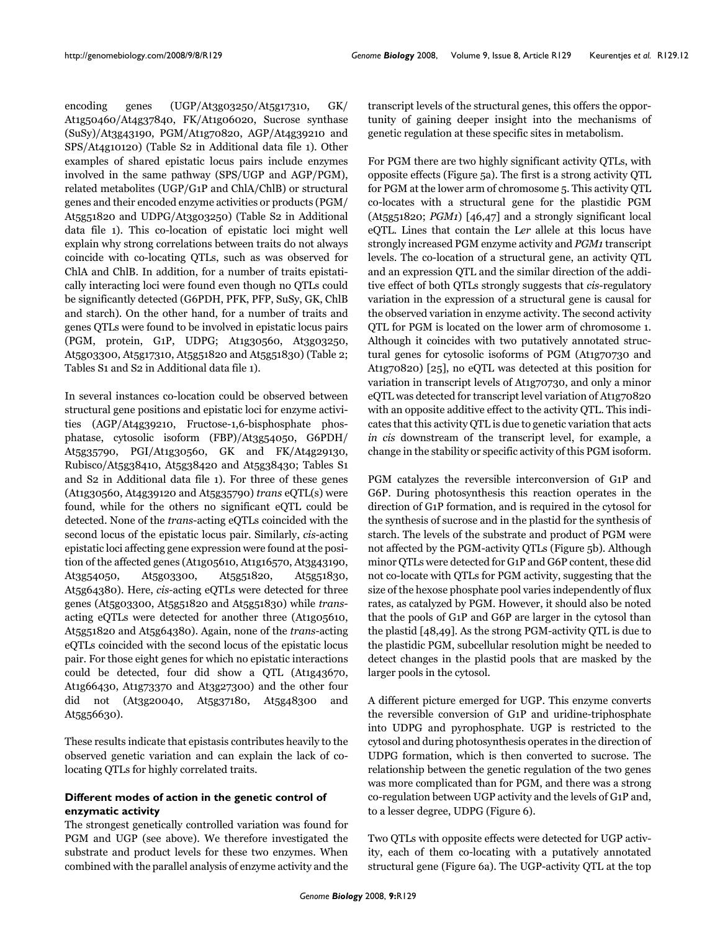encoding genes (UGP/At3g03250/At5g17310, GK/ At1g50460/At4g37840, FK/At1g06020, Sucrose synthase (SuSy)/At3g43190, PGM/At1g70820, AGP/At4g39210 and SPS/At4g10120) (Table S2 in Additional data file 1). Other examples of shared epistatic locus pairs include enzymes involved in the same pathway (SPS/UGP and AGP/PGM), related metabolites (UGP/G1P and ChlA/ChlB) or structural genes and their encoded enzyme activities or products (PGM/ At5g51820 and UDPG/At3g03250) (Table S2 in Additional data file 1). This co-location of epistatic loci might well explain why strong correlations between traits do not always coincide with co-locating QTLs, such as was observed for ChlA and ChlB. In addition, for a number of traits epistatically interacting loci were found even though no QTLs could be significantly detected (G6PDH, PFK, PFP, SuSy, GK, ChlB and starch). On the other hand, for a number of traits and genes QTLs were found to be involved in epistatic locus pairs (PGM, protein, G1P, UDPG; At1g30560, At3g03250, At5g03300, At5g17310, At5g51820 and At5g51830) (Table [2](#page-5-0); Tables S1 and S2 in Additional data file 1).

In several instances co-location could be observed between structural gene positions and epistatic loci for enzyme activities (AGP/At4g39210, Fructose-1,6-bisphosphate phosphatase, cytosolic isoform (FBP)/At3g54050, G6PDH/ At5g35790, PGI/At1g30560, GK and FK/At4g29130, Rubisco/At5g38410, At5g38420 and At5g38430; Tables S1 and S2 in Additional data file 1). For three of these genes (At1g30560, At4g39120 and At5g35790) *trans* eQTL(s) were found, while for the others no significant eQTL could be detected. None of the *trans*-acting eQTLs coincided with the second locus of the epistatic locus pair. Similarly, *cis*-acting epistatic loci affecting gene expression were found at the position of the affected genes (At1g05610, At1g16570, At3g43190, At3g54050, At5g03300, At5g51820, At5g51830, At5g64380). Here, *cis*-acting eQTLs were detected for three genes (At5g03300, At5g51820 and At5g51830) while *trans*acting eQTLs were detected for another three (At1g05610, At5g51820 and At5g64380). Again, none of the *trans*-acting eQTLs coincided with the second locus of the epistatic locus pair. For those eight genes for which no epistatic interactions could be detected, four did show a QTL (At1g43670, At1g66430, At1g73370 and At3g27300) and the other four did not (At3g20040, At5g37180, At5g48300 and At5g56630).

These results indicate that epistasis contributes heavily to the observed genetic variation and can explain the lack of colocating QTLs for highly correlated traits.

# **Different modes of action in the genetic control of enzymatic activity**

The strongest genetically controlled variation was found for PGM and UGP (see above). We therefore investigated the substrate and product levels for these two enzymes. When combined with the parallel analysis of enzyme activity and the

transcript levels of the structural genes, this offers the opportunity of gaining deeper insight into the mechanisms of genetic regulation at these specific sites in metabolism.

For PGM there are two highly significant activity QTLs, with opposite effects (Figure [5](#page-12-0)a). The first is a strong activity QTL for PGM at the lower arm of chromosome 5. This activity QTL co-locates with a structural gene for the plastidic PGM (At5g51820; *PGM1*) [46,47] and a strongly significant local eQTL. Lines that contain the L*er* allele at this locus have strongly increased PGM enzyme activity and *PGM1* transcript levels. The co-location of a structural gene, an activity QTL and an expression QTL and the similar direction of the additive effect of both QTLs strongly suggests that *cis*-regulatory variation in the expression of a structural gene is causal for the observed variation in enzyme activity. The second activity QTL for PGM is located on the lower arm of chromosome 1. Although it coincides with two putatively annotated structural genes for cytosolic isoforms of PGM (At1g70730 and At1g70820) [25], no eQTL was detected at this position for variation in transcript levels of At1g70730, and only a minor eQTL was detected for transcript level variation of At1g70820 with an opposite additive effect to the activity QTL. This indicates that this activity QTL is due to genetic variation that acts *in cis* downstream of the transcript level, for example, a change in the stability or specific activity of this PGM isoform.

PGM catalyzes the reversible interconversion of G1P and G6P. During photosynthesis this reaction operates in the direction of G1P formation, and is required in the cytosol for the synthesis of sucrose and in the plastid for the synthesis of starch. The levels of the substrate and product of PGM were not affected by the PGM-activity QTLs (Figure [5](#page-12-0)b). Although minor QTLs were detected for G1P and G6P content, these did not co-locate with QTLs for PGM activity, suggesting that the size of the hexose phosphate pool varies independently of flux rates, as catalyzed by PGM. However, it should also be noted that the pools of G1P and G6P are larger in the cytosol than the plastid [48,49]. As the strong PGM-activity QTL is due to the plastidic PGM, subcellular resolution might be needed to detect changes in the plastid pools that are masked by the larger pools in the cytosol.

A different picture emerged for UGP. This enzyme converts the reversible conversion of G1P and uridine-triphosphate into UDPG and pyrophosphate. UGP is restricted to the cytosol and during photosynthesis operates in the direction of UDPG formation, which is then converted to sucrose. The relationship between the genetic regulation of the two genes was more complicated than for PGM, and there was a strong co-regulation between UGP activity and the levels of G1P and, to a lesser degree, UDPG (Figure 6).

Two QTLs with opposite effects were detected for UGP activity, each of them co-locating with a putatively annotated structural gene (Figure 6a). The UGP-activity QTL at the top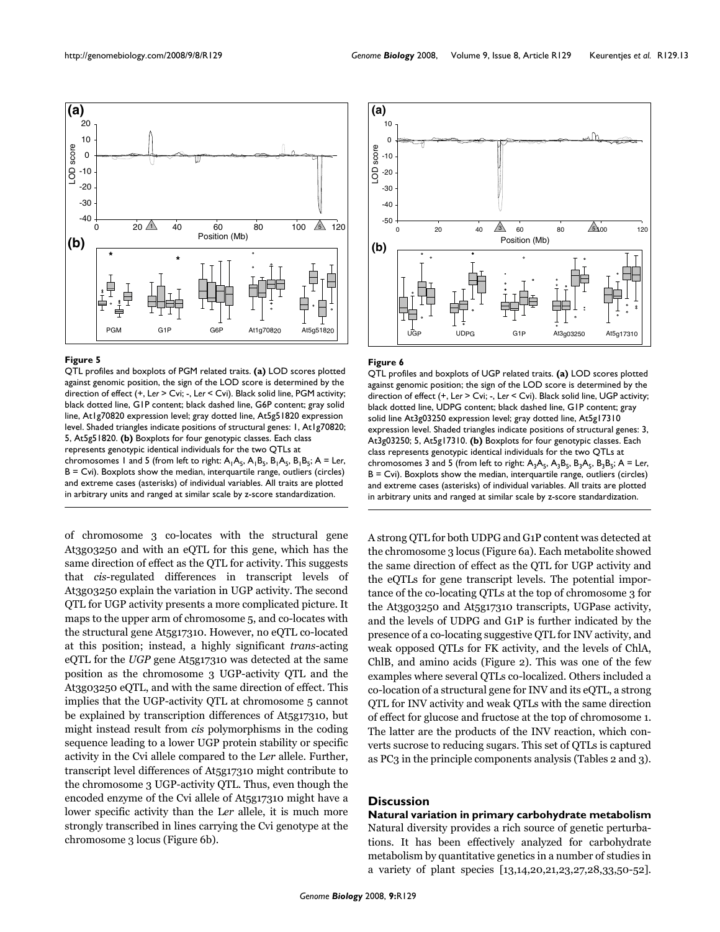<span id="page-12-0"></span>

QTL profiles and boxplots of PGM related traits. **(a)** LOD scores plotted against genomic position, the sign of the LOD score is determined by the direction of effect (+, L*er* > Cvi; -, L*er* < Cvi). Black solid line, PGM activity; black dotted line, G1P content; black dashed line, G6P content; gray solid line, At1g70820 expression level; gray dotted line, At5g51820 expression level. Shaded triangles indicate positions of structural genes: 1, At1g70820; 5, At5g51820. **(b)** Boxplots for four genotypic classes. Each class represents genotypic identical individuals for the two QTLs at chromosomes 1 and 5 (from left to right:  $A_1A_5$ ,  $A_1B_5$ ,  $B_1A_5$ ,  $B_1B_5$ ; A = Ler, B = Cvi). Boxplots show the median, interquartile range, outliers (circles) and extreme cases (asterisks) of individual variables. All traits are plotted in arbitrary units and ranged at similar scale by z-score standardization.

of chromosome 3 co-locates with the structural gene At3g03250 and with an eQTL for this gene, which has the same direction of effect as the QTL for activity. This suggests that *cis*-regulated differences in transcript levels of At3g03250 explain the variation in UGP activity. The second QTL for UGP activity presents a more complicated picture. It maps to the upper arm of chromosome 5, and co-locates with the structural gene At5g17310. However, no eQTL co-located at this position; instead, a highly significant *trans*-acting eQTL for the *UGP* gene At5g17310 was detected at the same position as the chromosome 3 UGP-activity QTL and the At3g03250 eQTL, and with the same direction of effect. This implies that the UGP-activity QTL at chromosome 5 cannot be explained by transcription differences of At5g17310, but might instead result from *cis* polymorphisms in the coding sequence leading to a lower UGP protein stability or specific activity in the Cvi allele compared to the L*er* allele. Further, transcript level differences of At5g17310 might contribute to the chromosome 3 UGP-activity QTL. Thus, even though the encoded enzyme of the Cvi allele of At5g17310 might have a lower specific activity than the L*er* allele, it is much more strongly transcribed in lines carrying the Cvi genotype at the chromosome 3 locus (Figure 6b).



#### Figure 6

QTL profiles and boxplots of UGP related traits. **(a)** LOD scores plotted against genomic position; the sign of the LOD score is determined by the direction of effect (+, L*er* > Cvi; -, L*er* < Cvi). Black solid line, UGP activity; black dotted line, UDPG content; black dashed line, G1P content; gray solid line At3g03250 expression level; gray dotted line, At5g17310 expression level. Shaded triangles indicate positions of structural genes: 3, At3g03250; 5, At5g17310. **(b)** Boxplots for four genotypic classes. Each class represents genotypic identical individuals for the two QTLs at chromosomes 3 and 5 (from left to right:  $A_3A_5$ ,  $A_3B_5$ ,  $B_3A_5$ ,  $B_3B_5$ ; A = Ler, B = Cvi). Boxplots show the median, interquartile range, outliers (circles) and extreme cases (asterisks) of individual variables. All traits are plotted in arbitrary units and ranged at similar scale by z-score standardization.

A strong QTL for both UDPG and G1P content was detected at the chromosome 3 locus (Figure 6a). Each metabolite showed the same direction of effect as the QTL for UGP activity and the eQTLs for gene transcript levels. The potential importance of the co-locating QTLs at the top of chromosome 3 for the At3g03250 and At5g17310 transcripts, UGPase activity, and the levels of UDPG and G1P is further indicated by the presence of a co-locating suggestive QTL for INV activity, and weak opposed QTLs for FK activity, and the levels of ChlA, ChlB, and amino acids (Figure [2\)](#page-7-0). This was one of the few examples where several QTLs co-localized. Others included a co-location of a structural gene for INV and its eQTL, a strong QTL for INV activity and weak QTLs with the same direction of effect for glucose and fructose at the top of chromosome 1. The latter are the products of the INV reaction, which converts sucrose to reducing sugars. This set of QTLs is captured as PC3 in the principle components analysis (Tables [2](#page-5-0) and [3](#page-10-0)).

# **Discussion**

**Natural variation in primary carbohydrate metabolism** Natural diversity provides a rich source of genetic perturbations. It has been effectively analyzed for carbohydrate metabolism by quantitative genetics in a number of studies in a variety of plant species [13,14,20,21,23,27,28,33,50-52].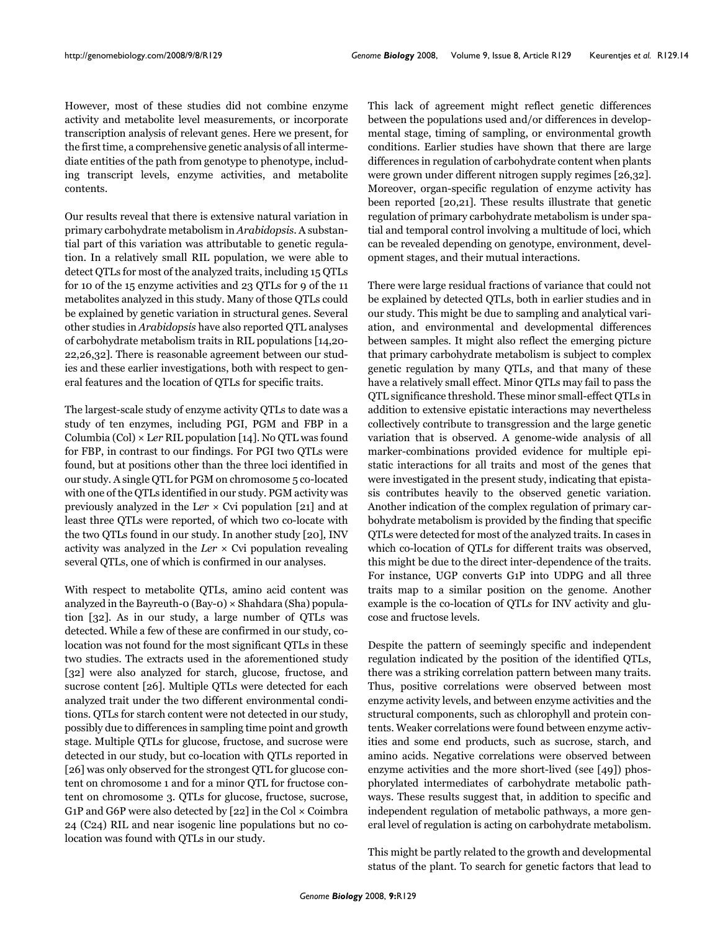However, most of these studies did not combine enzyme activity and metabolite level measurements, or incorporate transcription analysis of relevant genes. Here we present, for the first time, a comprehensive genetic analysis of all intermediate entities of the path from genotype to phenotype, including transcript levels, enzyme activities, and metabolite contents.

Our results reveal that there is extensive natural variation in primary carbohydrate metabolism in *Arabidopsis*. A substantial part of this variation was attributable to genetic regulation. In a relatively small RIL population, we were able to detect QTLs for most of the analyzed traits, including 15 QTLs for 10 of the 15 enzyme activities and 23 QTLs for 9 of the 11 metabolites analyzed in this study. Many of those QTLs could be explained by genetic variation in structural genes. Several other studies in *Arabidopsis* have also reported QTL analyses of carbohydrate metabolism traits in RIL populations [14,20- 22,26,32]. There is reasonable agreement between our studies and these earlier investigations, both with respect to general features and the location of QTLs for specific traits.

The largest-scale study of enzyme activity QTLs to date was a study of ten enzymes, including PGI, PGM and FBP in a Columbia (Col) × L*er* RIL population [14]. No QTL was found for FBP, in contrast to our findings. For PGI two QTLs were found, but at positions other than the three loci identified in our study. A single QTL for PGM on chromosome 5 co-located with one of the QTLs identified in our study. PGM activity was previously analyzed in the L*er* × Cvi population [21] and at least three QTLs were reported, of which two co-locate with the two QTLs found in our study. In another study [20], INV activity was analyzed in the *Ler* × Cvi population revealing several QTLs, one of which is confirmed in our analyses.

With respect to metabolite QTLs, amino acid content was analyzed in the Bayreuth-0 (Bay-0) × Shahdara (Sha) population [32]. As in our study, a large number of QTLs was detected. While a few of these are confirmed in our study, colocation was not found for the most significant QTLs in these two studies. The extracts used in the aforementioned study [32] were also analyzed for starch, glucose, fructose, and sucrose content [26]. Multiple QTLs were detected for each analyzed trait under the two different environmental conditions. QTLs for starch content were not detected in our study, possibly due to differences in sampling time point and growth stage. Multiple QTLs for glucose, fructose, and sucrose were detected in our study, but co-location with QTLs reported in [26] was only observed for the strongest QTL for glucose content on chromosome 1 and for a minor QTL for fructose content on chromosome 3. QTLs for glucose, fructose, sucrose, G1P and G6P were also detected by  $[22]$  in the Col  $\times$  Coimbra 24 (C24) RIL and near isogenic line populations but no colocation was found with QTLs in our study.

This lack of agreement might reflect genetic differences between the populations used and/or differences in developmental stage, timing of sampling, or environmental growth conditions. Earlier studies have shown that there are large differences in regulation of carbohydrate content when plants were grown under different nitrogen supply regimes [26,32]. Moreover, organ-specific regulation of enzyme activity has been reported [20,21]. These results illustrate that genetic regulation of primary carbohydrate metabolism is under spatial and temporal control involving a multitude of loci, which can be revealed depending on genotype, environment, development stages, and their mutual interactions.

There were large residual fractions of variance that could not be explained by detected QTLs, both in earlier studies and in our study. This might be due to sampling and analytical variation, and environmental and developmental differences between samples. It might also reflect the emerging picture that primary carbohydrate metabolism is subject to complex genetic regulation by many QTLs, and that many of these have a relatively small effect. Minor QTLs may fail to pass the QTL significance threshold. These minor small-effect QTLs in addition to extensive epistatic interactions may nevertheless collectively contribute to transgression and the large genetic variation that is observed. A genome-wide analysis of all marker-combinations provided evidence for multiple epistatic interactions for all traits and most of the genes that were investigated in the present study, indicating that epistasis contributes heavily to the observed genetic variation. Another indication of the complex regulation of primary carbohydrate metabolism is provided by the finding that specific QTLs were detected for most of the analyzed traits. In cases in which co-location of QTLs for different traits was observed, this might be due to the direct inter-dependence of the traits. For instance, UGP converts G1P into UDPG and all three traits map to a similar position on the genome. Another example is the co-location of QTLs for INV activity and glucose and fructose levels.

Despite the pattern of seemingly specific and independent regulation indicated by the position of the identified QTLs, there was a striking correlation pattern between many traits. Thus, positive correlations were observed between most enzyme activity levels, and between enzyme activities and the structural components, such as chlorophyll and protein contents. Weaker correlations were found between enzyme activities and some end products, such as sucrose, starch, and amino acids. Negative correlations were observed between enzyme activities and the more short-lived (see [49]) phosphorylated intermediates of carbohydrate metabolic pathways. These results suggest that, in addition to specific and independent regulation of metabolic pathways, a more general level of regulation is acting on carbohydrate metabolism.

This might be partly related to the growth and developmental status of the plant. To search for genetic factors that lead to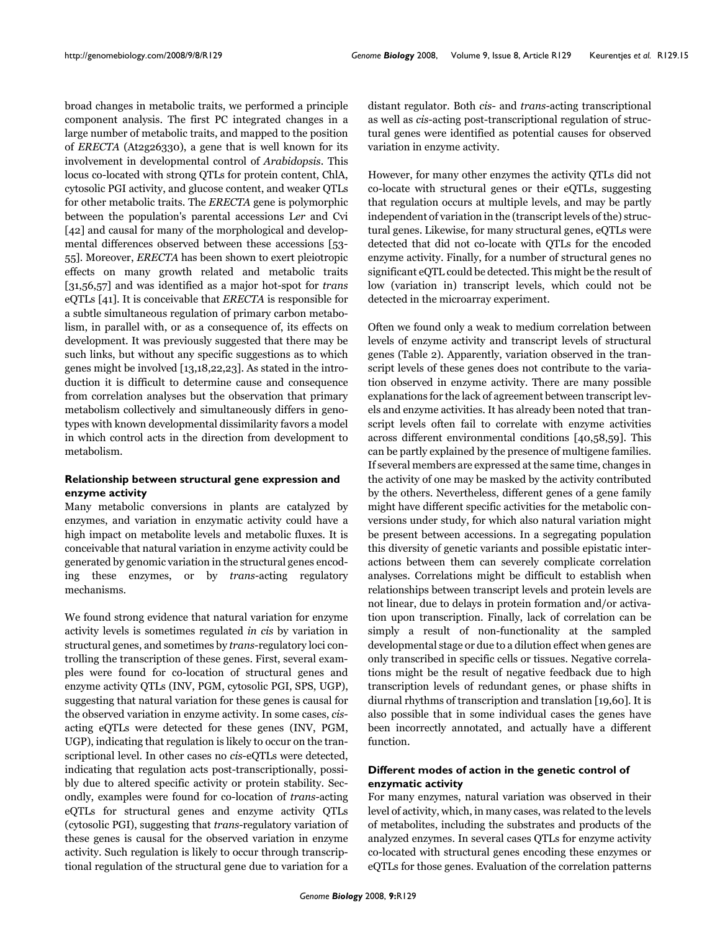broad changes in metabolic traits, we performed a principle component analysis. The first PC integrated changes in a large number of metabolic traits, and mapped to the position of *ERECTA* (At2g26330), a gene that is well known for its involvement in developmental control of *Arabidopsis*. This locus co-located with strong QTLs for protein content, ChlA, cytosolic PGI activity, and glucose content, and weaker QTLs for other metabolic traits. The *ERECTA* gene is polymorphic between the population's parental accessions L*er* and Cvi [42] and causal for many of the morphological and developmental differences observed between these accessions [53- 55]. Moreover, *ERECTA* has been shown to exert pleiotropic effects on many growth related and metabolic traits [31,56,57] and was identified as a major hot-spot for *trans* eQTLs [41]. It is conceivable that *ERECTA* is responsible for a subtle simultaneous regulation of primary carbon metabolism, in parallel with, or as a consequence of, its effects on development. It was previously suggested that there may be such links, but without any specific suggestions as to which genes might be involved [13,18,22,23]. As stated in the introduction it is difficult to determine cause and consequence from correlation analyses but the observation that primary metabolism collectively and simultaneously differs in genotypes with known developmental dissimilarity favors a model in which control acts in the direction from development to metabolism.

# **Relationship between structural gene expression and enzyme activity**

Many metabolic conversions in plants are catalyzed by enzymes, and variation in enzymatic activity could have a high impact on metabolite levels and metabolic fluxes. It is conceivable that natural variation in enzyme activity could be generated by genomic variation in the structural genes encoding these enzymes, or by *trans*-acting regulatory mechanisms.

We found strong evidence that natural variation for enzyme activity levels is sometimes regulated *in cis* by variation in structural genes, and sometimes by *trans*-regulatory loci controlling the transcription of these genes. First, several examples were found for co-location of structural genes and enzyme activity QTLs (INV, PGM, cytosolic PGI, SPS, UGP), suggesting that natural variation for these genes is causal for the observed variation in enzyme activity. In some cases, *cis*acting eQTLs were detected for these genes (INV, PGM, UGP), indicating that regulation is likely to occur on the transcriptional level. In other cases no *cis*-eQTLs were detected, indicating that regulation acts post-transcriptionally, possibly due to altered specific activity or protein stability. Secondly, examples were found for co-location of *trans*-acting eQTLs for structural genes and enzyme activity QTLs (cytosolic PGI), suggesting that *trans*-regulatory variation of these genes is causal for the observed variation in enzyme activity. Such regulation is likely to occur through transcriptional regulation of the structural gene due to variation for a distant regulator. Both *cis*- and *trans*-acting transcriptional as well as *cis*-acting post-transcriptional regulation of structural genes were identified as potential causes for observed variation in enzyme activity.

However, for many other enzymes the activity QTLs did not co-locate with structural genes or their eQTLs, suggesting that regulation occurs at multiple levels, and may be partly independent of variation in the (transcript levels of the) structural genes. Likewise, for many structural genes, eQTLs were detected that did not co-locate with QTLs for the encoded enzyme activity. Finally, for a number of structural genes no significant eQTL could be detected. This might be the result of low (variation in) transcript levels, which could not be detected in the microarray experiment.

Often we found only a weak to medium correlation between levels of enzyme activity and transcript levels of structural genes (Table [2\)](#page-5-0). Apparently, variation observed in the transcript levels of these genes does not contribute to the variation observed in enzyme activity. There are many possible explanations for the lack of agreement between transcript levels and enzyme activities. It has already been noted that transcript levels often fail to correlate with enzyme activities across different environmental conditions [40,58,59]. This can be partly explained by the presence of multigene families. If several members are expressed at the same time, changes in the activity of one may be masked by the activity contributed by the others. Nevertheless, different genes of a gene family might have different specific activities for the metabolic conversions under study, for which also natural variation might be present between accessions. In a segregating population this diversity of genetic variants and possible epistatic interactions between them can severely complicate correlation analyses. Correlations might be difficult to establish when relationships between transcript levels and protein levels are not linear, due to delays in protein formation and/or activation upon transcription. Finally, lack of correlation can be simply a result of non-functionality at the sampled developmental stage or due to a dilution effect when genes are only transcribed in specific cells or tissues. Negative correlations might be the result of negative feedback due to high transcription levels of redundant genes, or phase shifts in diurnal rhythms of transcription and translation [19,60]. It is also possible that in some individual cases the genes have been incorrectly annotated, and actually have a different function.

# **Different modes of action in the genetic control of enzymatic activity**

For many enzymes, natural variation was observed in their level of activity, which, in many cases, was related to the levels of metabolites, including the substrates and products of the analyzed enzymes. In several cases QTLs for enzyme activity co-located with structural genes encoding these enzymes or eQTLs for those genes. Evaluation of the correlation patterns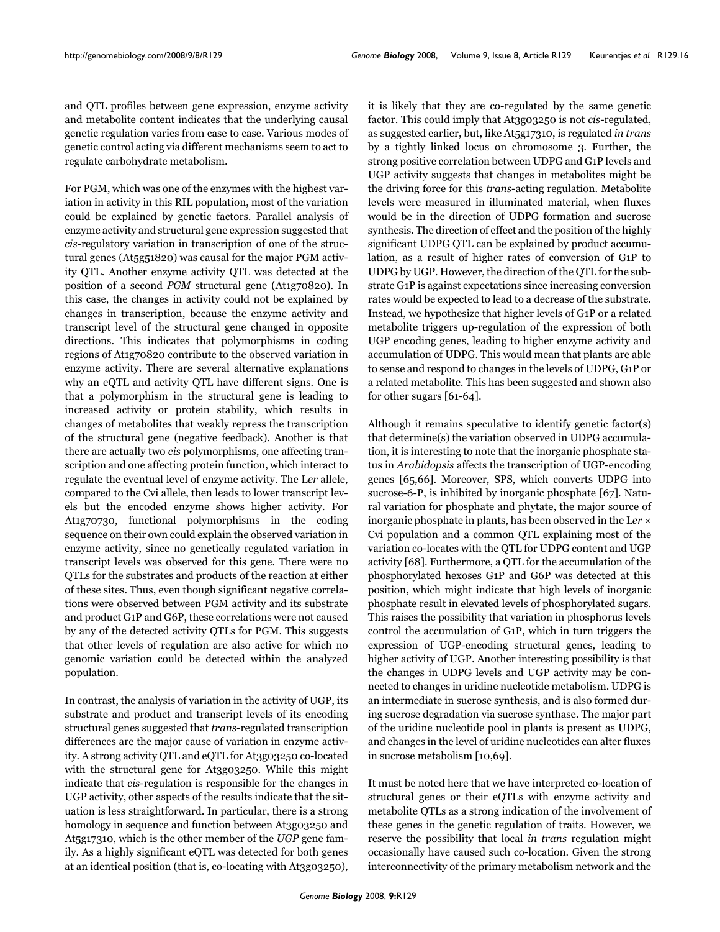and QTL profiles between gene expression, enzyme activity and metabolite content indicates that the underlying causal genetic regulation varies from case to case. Various modes of genetic control acting via different mechanisms seem to act to regulate carbohydrate metabolism.

For PGM, which was one of the enzymes with the highest variation in activity in this RIL population, most of the variation could be explained by genetic factors. Parallel analysis of enzyme activity and structural gene expression suggested that *cis*-regulatory variation in transcription of one of the structural genes (At5g51820) was causal for the major PGM activity QTL. Another enzyme activity QTL was detected at the position of a second *PGM* structural gene (At1g70820). In this case, the changes in activity could not be explained by changes in transcription, because the enzyme activity and transcript level of the structural gene changed in opposite directions. This indicates that polymorphisms in coding regions of At1g70820 contribute to the observed variation in enzyme activity. There are several alternative explanations why an eQTL and activity QTL have different signs. One is that a polymorphism in the structural gene is leading to increased activity or protein stability, which results in changes of metabolites that weakly repress the transcription of the structural gene (negative feedback). Another is that there are actually two *cis* polymorphisms, one affecting transcription and one affecting protein function, which interact to regulate the eventual level of enzyme activity. The L*er* allele, compared to the Cvi allele, then leads to lower transcript levels but the encoded enzyme shows higher activity. For At1g70730, functional polymorphisms in the coding sequence on their own could explain the observed variation in enzyme activity, since no genetically regulated variation in transcript levels was observed for this gene. There were no QTLs for the substrates and products of the reaction at either of these sites. Thus, even though significant negative correlations were observed between PGM activity and its substrate and product G1P and G6P, these correlations were not caused by any of the detected activity QTLs for PGM. This suggests that other levels of regulation are also active for which no genomic variation could be detected within the analyzed population.

In contrast, the analysis of variation in the activity of UGP, its substrate and product and transcript levels of its encoding structural genes suggested that *trans*-regulated transcription differences are the major cause of variation in enzyme activity. A strong activity QTL and eQTL for At3g03250 co-located with the structural gene for At3g03250. While this might indicate that *cis*-regulation is responsible for the changes in UGP activity, other aspects of the results indicate that the situation is less straightforward. In particular, there is a strong homology in sequence and function between At3g03250 and At5g17310, which is the other member of the *UGP* gene family. As a highly significant eQTL was detected for both genes at an identical position (that is, co-locating with At3g03250),

it is likely that they are co-regulated by the same genetic factor. This could imply that At3g03250 is not *cis*-regulated, as suggested earlier, but, like At5g17310, is regulated *in trans* by a tightly linked locus on chromosome 3. Further, the strong positive correlation between UDPG and G1P levels and UGP activity suggests that changes in metabolites might be the driving force for this *trans*-acting regulation. Metabolite levels were measured in illuminated material, when fluxes would be in the direction of UDPG formation and sucrose synthesis. The direction of effect and the position of the highly significant UDPG QTL can be explained by product accumulation, as a result of higher rates of conversion of G1P to UDPG by UGP. However, the direction of the QTL for the substrate G1P is against expectations since increasing conversion rates would be expected to lead to a decrease of the substrate. Instead, we hypothesize that higher levels of G1P or a related metabolite triggers up-regulation of the expression of both UGP encoding genes, leading to higher enzyme activity and accumulation of UDPG. This would mean that plants are able to sense and respond to changes in the levels of UDPG, G1P or a related metabolite. This has been suggested and shown also for other sugars [61-64].

Although it remains speculative to identify genetic factor(s) that determine(s) the variation observed in UDPG accumulation, it is interesting to note that the inorganic phosphate status in *Arabidopsis* affects the transcription of UGP-encoding genes [65,66]. Moreover, SPS, which converts UDPG into sucrose-6-P, is inhibited by inorganic phosphate [67]. Natural variation for phosphate and phytate, the major source of inorganic phosphate in plants, has been observed in the L*er* × Cvi population and a common QTL explaining most of the variation co-locates with the QTL for UDPG content and UGP activity [\[68\]](#page-19-0). Furthermore, a QTL for the accumulation of the phosphorylated hexoses G1P and G6P was detected at this position, which might indicate that high levels of inorganic phosphate result in elevated levels of phosphorylated sugars. This raises the possibility that variation in phosphorus levels control the accumulation of G1P, which in turn triggers the expression of UGP-encoding structural genes, leading to higher activity of UGP. Another interesting possibility is that the changes in UDPG levels and UGP activity may be connected to changes in uridine nucleotide metabolism. UDPG is an intermediate in sucrose synthesis, and is also formed during sucrose degradation via sucrose synthase. The major part of the uridine nucleotide pool in plants is present as UDPG, and changes in the level of uridine nucleotides can alter fluxes in sucrose metabolism [10,69].

It must be noted here that we have interpreted co-location of structural genes or their eQTLs with enzyme activity and metabolite QTLs as a strong indication of the involvement of these genes in the genetic regulation of traits. However, we reserve the possibility that local *in trans* regulation might occasionally have caused such co-location. Given the strong interconnectivity of the primary metabolism network and the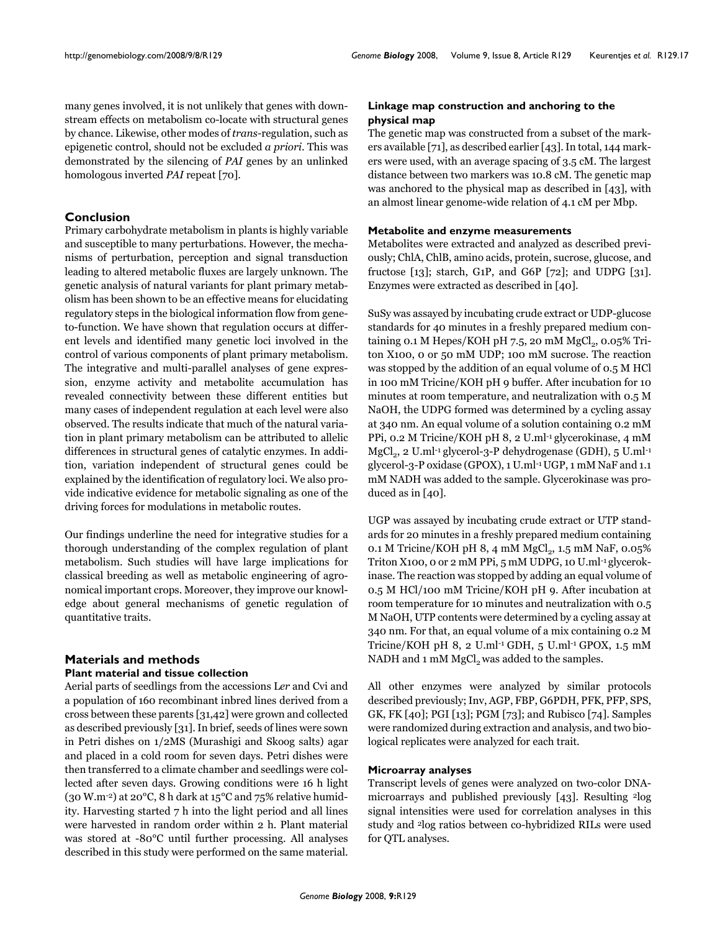many genes involved, it is not unlikely that genes with downstream effects on metabolism co-locate with structural genes by chance. Likewise, other modes of *trans*-regulation, such as epigenetic control, should not be excluded *a priori*. This was demonstrated by the silencing of *PAI* genes by an unlinked homologous inverted *PAI* repeat [70].

# **Conclusion**

Primary carbohydrate metabolism in plants is highly variable and susceptible to many perturbations. However, the mechanisms of perturbation, perception and signal transduction leading to altered metabolic fluxes are largely unknown. The genetic analysis of natural variants for plant primary metabolism has been shown to be an effective means for elucidating regulatory steps in the biological information flow from geneto-function. We have shown that regulation occurs at different levels and identified many genetic loci involved in the control of various components of plant primary metabolism. The integrative and multi-parallel analyses of gene expression, enzyme activity and metabolite accumulation has revealed connectivity between these different entities but many cases of independent regulation at each level were also observed. The results indicate that much of the natural variation in plant primary metabolism can be attributed to allelic differences in structural genes of catalytic enzymes. In addition, variation independent of structural genes could be explained by the identification of regulatory loci. We also provide indicative evidence for metabolic signaling as one of the driving forces for modulations in metabolic routes.

Our findings underline the need for integrative studies for a thorough understanding of the complex regulation of plant metabolism. Such studies will have large implications for classical breeding as well as metabolic engineering of agronomical important crops. Moreover, they improve our knowledge about general mechanisms of genetic regulation of quantitative traits.

# **Materials and methods**

# **Plant material and tissue collection**

Aerial parts of seedlings from the accessions L*er* and Cvi and a population of 160 recombinant inbred lines derived from a cross between these parents [31,42] were grown and collected as described previously [31]. In brief, seeds of lines were sown in Petri dishes on 1/2MS (Murashigi and Skoog salts) agar and placed in a cold room for seven days. Petri dishes were then transferred to a climate chamber and seedlings were collected after seven days. Growing conditions were 16 h light (30 W.m<sup>-2</sup>) at 20<sup>°</sup>C, 8 h dark at 15<sup>°</sup>C and 75<sup>%</sup> relative humidity. Harvesting started 7 h into the light period and all lines were harvested in random order within 2 h. Plant material was stored at -80°C until further processing. All analyses described in this study were performed on the same material.

# **Linkage map construction and anchoring to the physical map**

The genetic map was constructed from a subset of the markers available [71], as described earlier [43]. In total, 144 markers were used, with an average spacing of 3.5 cM. The largest distance between two markers was 10.8 cM. The genetic map was anchored to the physical map as described in [43], with an almost linear genome-wide relation of 4.1 cM per Mbp.

#### **Metabolite and enzyme measurements**

Metabolites were extracted and analyzed as described previously; ChlA, ChlB, amino acids, protein, sucrose, glucose, and fructose [13]; starch, G1P, and G6P [72]; and UDPG [31]. Enzymes were extracted as described in [40].

SuSy was assayed by incubating crude extract or UDP-glucose standards for 40 minutes in a freshly prepared medium containing 0.1 M Hepes/KOH pH 7.5, 20 mM  $MgCl<sub>2</sub>$ , 0.05% Triton X100, 0 or 50 mM UDP; 100 mM sucrose. The reaction was stopped by the addition of an equal volume of 0.5 M HCl in 100 mM Tricine/KOH pH 9 buffer. After incubation for 10 minutes at room temperature, and neutralization with 0.5 M NaOH, the UDPG formed was determined by a cycling assay at 340 nm. An equal volume of a solution containing 0.2 mM PPi, 0.2 M Tricine/KOH pH 8, 2 U.ml-1 glycerokinase, 4 mM MgCl<sub>2</sub>, 2 U.ml<sup>-1</sup> glycerol-3-P dehydrogenase (GDH), 5 U.ml<sup>-1</sup> glycerol-3-P oxidase (GPOX), 1 U.ml-1 UGP, 1 mM NaF and 1.1 mM NADH was added to the sample. Glycerokinase was produced as in [40].

UGP was assayed by incubating crude extract or UTP standards for 20 minutes in a freshly prepared medium containing 0.1 M Tricine/KOH pH 8, 4 mM MgCl<sub>2</sub>, 1.5 mM NaF, 0.05% Triton X100, 0 or 2 mM PPi, 5 mM UDPG, 10 U.ml-1 glycerokinase. The reaction was stopped by adding an equal volume of 0.5 M HCl/100 mM Tricine/KOH pH 9. After incubation at room temperature for 10 minutes and neutralization with 0.5 M NaOH, UTP contents were determined by a cycling assay at 340 nm. For that, an equal volume of a mix containing 0.2 M Tricine/KOH pH 8, 2 U.ml<sup>-1</sup> GDH, 5 U.ml<sup>-1</sup> GPOX, 1.5 mM NADH and  $1 \text{ mM } MgCl<sub>2</sub>$  was added to the samples.

All other enzymes were analyzed by similar protocols described previously; Inv, AGP, FBP, G6PDH, PFK, PFP, SPS, GK, FK [40]; PGI [13]; PGM [73]; and Rubisco [74]. Samples were randomized during extraction and analysis, and two biological replicates were analyzed for each trait.

# **Microarray analyses**

Transcript levels of genes were analyzed on two-color DNAmicroarrays and published previously [43]. Resulting 2log signal intensities were used for correlation analyses in this study and 2log ratios between co-hybridized RILs were used for QTL analyses.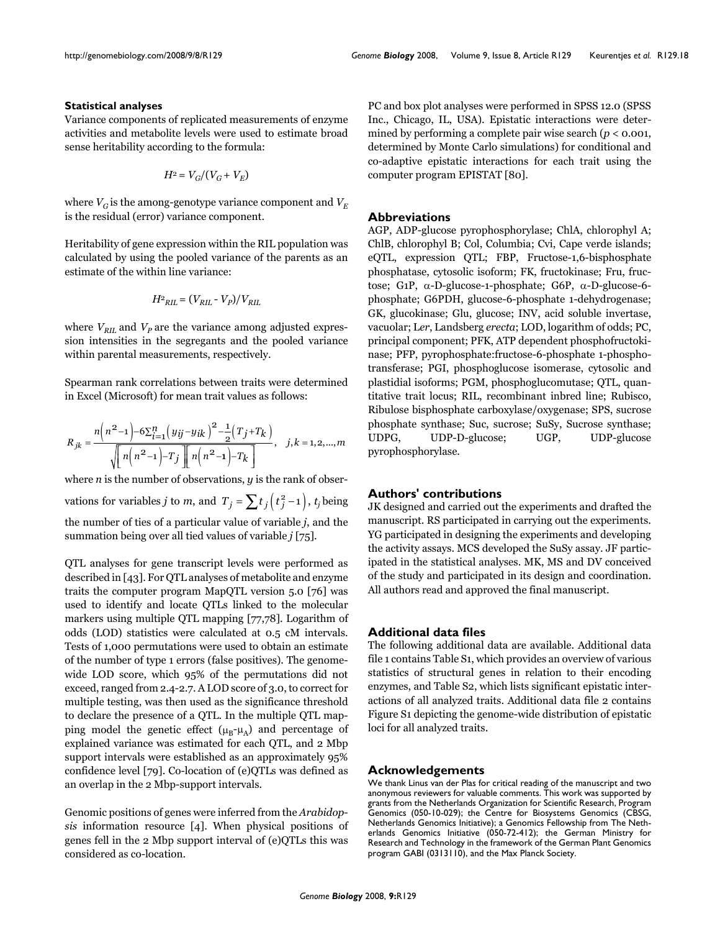#### **Statistical analyses**

Variance components of replicated measurements of enzyme activities and metabolite levels were used to estimate broad sense heritability according to the formula:

$$
H^2 = V_G/(V_G + V_E)
$$

where  $V_G$  is the among-genotype variance component and  $V_E$ is the residual (error) variance component.

Heritability of gene expression within the RIL population was calculated by using the pooled variance of the parents as an estimate of the within line variance:

$$
H^2_{\mathit{RIL}} = (V_{\mathit{RIL}} - V_P)/V_{\mathit{RIL}}
$$

where  $V_{\text{RIL}}$  and  $V_{\text{P}}$  are the variance among adjusted expression intensities in the segregants and the pooled variance within parental measurements, respectively.

Spearman rank correlations between traits were determined in Excel (Microsoft) for mean trait values as follows:

$$
R_{jk} = \frac{n\left(n^2 - 1\right) - 6\sum_{i=1}^{n} \left(y_{ij} - y_{ik}\right)^2 - \frac{1}{2}\left(T_j + T_k\right)}{\sqrt{\left[n\left(n^2 - 1\right) - T_j\right]\left[n\left(n^2 - 1\right) - T_k\right]}}, \quad j, k = 1, 2, \dots, m
$$

where  $n$  is the number of observations,  $y$  is the rank of observations for variables *j* to *m*, and  $T_j = \sum t_j \left(t_j^2 - 1\right)$ , *t<sub>j</sub>* being the number of ties of a particular value of variable *j*, and the summation being over all tied values of variable *j* [75].

QTL analyses for gene transcript levels were performed as described in [43]. For QTL analyses of metabolite and enzyme traits the computer program MapQTL version 5.0 [76] was used to identify and locate QTLs linked to the molecular markers using multiple QTL mapping [77,78]. Logarithm of odds (LOD) statistics were calculated at 0.5 cM intervals. Tests of 1,000 permutations were used to obtain an estimate of the number of type 1 errors (false positives). The genomewide LOD score, which 95% of the permutations did not exceed, ranged from 2.4-2.7. A LOD score of 3.0, to correct for multiple testing, was then used as the significance threshold to declare the presence of a QTL. In the multiple QTL mapping model the genetic effect ( $\mu_B$ - $\mu_A$ ) and percentage of explained variance was estimated for each QTL, and 2 Mbp support intervals were established as an approximately 95% confidence level [79]. Co-location of (e)QTLs was defined as an overlap in the 2 Mbp-support intervals.

Genomic positions of genes were inferred from the *Arabidopsis* information resource [4]. When physical positions of genes fell in the 2 Mbp support interval of (e)QTLs this was considered as co-location.

PC and box plot analyses were performed in SPSS 12.0 (SPSS Inc., Chicago, IL, USA). Epistatic interactions were determined by performing a complete pair wise search (*p* < 0.001, determined by Monte Carlo simulations) for conditional and co-adaptive epistatic interactions for each trait using the computer program EPISTAT [80].

# **Abbreviations**

AGP, ADP-glucose pyrophosphorylase; ChlA, chlorophyl A; ChlB, chlorophyl B; Col, Columbia; Cvi, Cape verde islands; eQTL, expression QTL; FBP, Fructose-1,6-bisphosphate phosphatase, cytosolic isoform; FK, fructokinase; Fru, fructose; G1P, α-D-glucose-1-phosphate; G6P, α-D-glucose-6 phosphate; G6PDH, glucose-6-phosphate 1-dehydrogenase; GK, glucokinase; Glu, glucose; INV, acid soluble invertase, vacuolar; L*er*, Landsberg *erecta*; LOD, logarithm of odds; PC, principal component; PFK, ATP dependent phosphofructokinase; PFP, pyrophosphate:fructose-6-phosphate 1-phosphotransferase; PGI, phosphoglucose isomerase, cytosolic and plastidial isoforms; PGM, phosphoglucomutase; QTL, quantitative trait locus; RIL, recombinant inbred line; Rubisco, Ribulose bisphosphate carboxylase/oxygenase; SPS, sucrose phosphate synthase; Suc, sucrose; SuSy, Sucrose synthase; UDPG, UDP-D-glucose; UGP, UDP-glucose pyrophosphorylase.

# **Authors' contributions**

JK designed and carried out the experiments and drafted the manuscript. RS participated in carrying out the experiments. YG participated in designing the experiments and developing the activity assays. MCS developed the SuSy assay. JF participated in the statistical analyses. MK, MS and DV conceived of the study and participated in its design and coordination. All authors read and approved the final manuscript.

# **Additional data files**

The following additional data are available. Additional data file 1 contains Table S1, which provides an overview of various statistics of structural genes in relation to their encoding enzymes, and Table S2, which lists significant epistatic interactions of all analyzed traits. Additional data file 2 contains Figure S1 depicting the genome-wide distribution of epistatic loci for all analyzed traits.

#### **Acknowledgements**

We thank Linus van der Plas for critical reading of the manuscript and two anonymous reviewers for valuable comments. This work was supported by grants from the Netherlands Organization for Scientific Research, Program Genomics (050-10-029); the Centre for Biosystems Genomics (CBSG, Netherlands Genomics Initiative); a Genomics Fellowship from The Netherlands Genomics Initiative (050-72-412); the German Ministry for Research and Technology in the framework of the German Plant Genomics program GABI (0313110), and the Max Planck Society.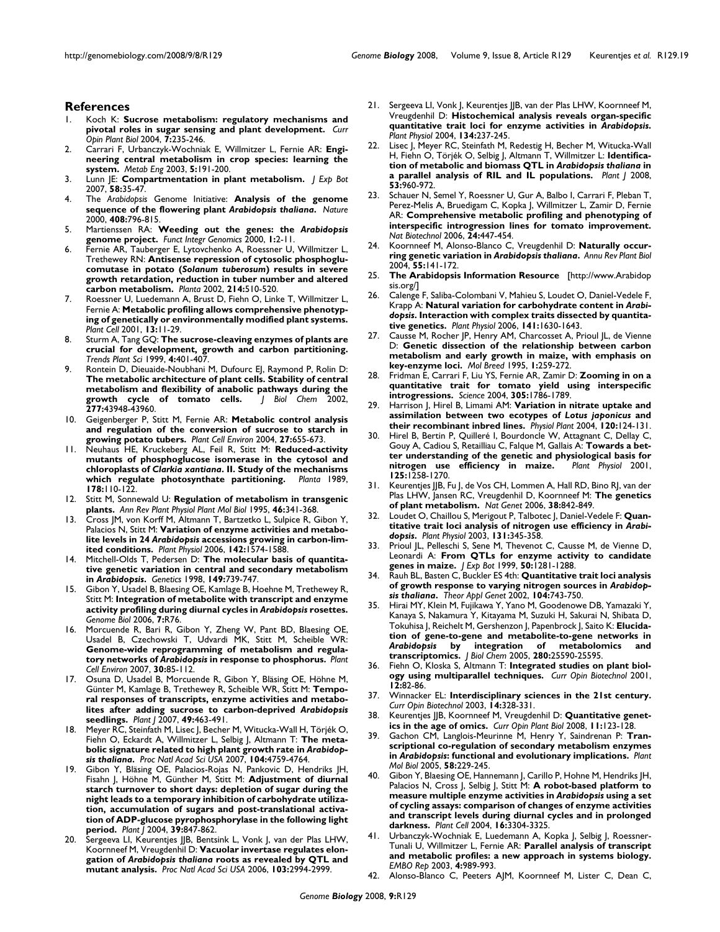#### **References**

- 1. Koch K: **[Sucrose metabolism: regulatory mechanisms and](http://www.ncbi.nlm.nih.gov/entrez/query.fcgi?cmd=Retrieve&db=PubMed&dopt=Abstract&list_uids=15134743) [pivotal roles in sugar sensing and plant development.](http://www.ncbi.nlm.nih.gov/entrez/query.fcgi?cmd=Retrieve&db=PubMed&dopt=Abstract&list_uids=15134743)** *Curr Opin Plant Biol* 2004, **7:**235-246.
- 2. Carrari F, Urbanczyk-Wochniak E, Willmitzer L, Fernie AR: **[Engi](http://www.ncbi.nlm.nih.gov/entrez/query.fcgi?cmd=Retrieve&db=PubMed&dopt=Abstract&list_uids=12948753)[neering central metabolism in crop species: learning the](http://www.ncbi.nlm.nih.gov/entrez/query.fcgi?cmd=Retrieve&db=PubMed&dopt=Abstract&list_uids=12948753) [system.](http://www.ncbi.nlm.nih.gov/entrez/query.fcgi?cmd=Retrieve&db=PubMed&dopt=Abstract&list_uids=12948753)** *Metab Eng* 2003, **5:**191-200.
- 3. Lunn JE: **[Compartmentation in plant metabolism.](http://www.ncbi.nlm.nih.gov/entrez/query.fcgi?cmd=Retrieve&db=PubMed&dopt=Abstract&list_uids=17030538)** *J Exp Bot* 2007, **58:**35-47.
- 4. The *Arabidopsis* Genome Initiative: **Analysis of the genome sequence of the flowering plant** *Arabidopsis thaliana***[.](http://www.ncbi.nlm.nih.gov/entrez/query.fcgi?cmd=Retrieve&db=PubMed&dopt=Abstract&list_uids=11130711)** *Nature* 2000, **408:**796-815.
- 5. Martienssen RA: **Weeding out the genes: the** *Arabidopsis* **[genome project.](http://www.ncbi.nlm.nih.gov/entrez/query.fcgi?cmd=Retrieve&db=PubMed&dopt=Abstract&list_uids=11793217)** *Funct Integr Genomics* 2000, **1:**2-11.
- 6. Fernie AR, Tauberger E, Lytovchenko A, Roessner U, Willmitzer L, Trethewey RN: **Antisense repression of cytosolic phosphoglucomutase in potato (***Solanum tuberosum***[\) results in severe](http://www.ncbi.nlm.nih.gov/entrez/query.fcgi?cmd=Retrieve&db=PubMed&dopt=Abstract&list_uids=11925034) [growth retardation, reduction in tuber number and altered](http://www.ncbi.nlm.nih.gov/entrez/query.fcgi?cmd=Retrieve&db=PubMed&dopt=Abstract&list_uids=11925034) [carbon metabolism.](http://www.ncbi.nlm.nih.gov/entrez/query.fcgi?cmd=Retrieve&db=PubMed&dopt=Abstract&list_uids=11925034)** *Planta* 2002, **214:**510-520.
- 7. Roessner U, Luedemann A, Brust D, Fiehn O, Linke T, Willmitzer L, Fernie A: **[Metabolic profiling allows comprehensive phenotyp](http://www.ncbi.nlm.nih.gov/entrez/query.fcgi?cmd=Retrieve&db=PubMed&dopt=Abstract&list_uids=11158526)[ing of genetically or environmentally modified plant systems.](http://www.ncbi.nlm.nih.gov/entrez/query.fcgi?cmd=Retrieve&db=PubMed&dopt=Abstract&list_uids=11158526)** *Plant Cell* 2001, **13:**11-29.
- 8. Sturm A, Tang GQ: **[The sucrose-cleaving enzymes of plants are](http://www.ncbi.nlm.nih.gov/entrez/query.fcgi?cmd=Retrieve&db=PubMed&dopt=Abstract&list_uids=10498964) [crucial for development, growth and carbon partitioning.](http://www.ncbi.nlm.nih.gov/entrez/query.fcgi?cmd=Retrieve&db=PubMed&dopt=Abstract&list_uids=10498964)** *Trends Plant Sci* 1999, **4:**401-407.
- 9. Rontein D, Dieuaide-Noubhani M, Dufourc EJ, Raymond P, Rolin D: **[The metabolic architecture of plant cells. Stability of central](http://www.ncbi.nlm.nih.gov/entrez/query.fcgi?cmd=Retrieve&db=PubMed&dopt=Abstract&list_uids=12226084) metabolism and flexibility of anabolic pathways during the growth cycle of tomato cells.** J Biol Chem 2002, [growth cycle of tomato cells.](http://www.ncbi.nlm.nih.gov/entrez/query.fcgi?cmd=Retrieve&db=PubMed&dopt=Abstract&list_uids=12226084) **277:**43948-43960.
- 10. Geigenberger P, Stitt M, Fernie AR: **Metabolic control analysis and regulation of the conversion of sucrose to starch in growing potato tubers.** *Plant Cell Environ* 2004, **27:**655-673.
- 11. Neuhaus HE, Kruckeberg AL, Feil R, Stitt M: **Reduced-activity mutants of phosphoglucose isomerase in the cytosol and chloroplasts of** *Clarkia xantiana***. II. Study of the mechanisms which regulate photosynthate partitioning.** *Planta* 1989, **178:**110-122.
- 12. Stitt M, Sonnewald U: **Regulation of metabolism in transgenic plants.** *Ann Rev Plant Physiol Plant Mol Biol* 1995, **46:**341-368.
- 13. Cross JM, von Korff M, Altmann T, Bartzetko L, Sulpice R, Gibon Y, Palacios N, Stitt M: **Variation of enzyme activities and metabolite levels in 24** *Arabidopsis* **[accessions growing in carbon-lim](http://www.ncbi.nlm.nih.gov/entrez/query.fcgi?cmd=Retrieve&db=PubMed&dopt=Abstract&list_uids=17085515)[ited conditions.](http://www.ncbi.nlm.nih.gov/entrez/query.fcgi?cmd=Retrieve&db=PubMed&dopt=Abstract&list_uids=17085515)** *Plant Physiol* 2006, **142:**1574-1588.
- 14. Mitchell-Olds T, Pedersen D: **The molecular basis of quantitative genetic variation in central and secondary metabolism in** *Arabidopsis***[.](http://www.ncbi.nlm.nih.gov/entrez/query.fcgi?cmd=Retrieve&db=PubMed&dopt=Abstract&list_uids=9611188)** *Genetics* 1998, **149:**739-747.
- 15. Gibon Y, Usadel B, Blaesing OE, Kamlage B, Hoehne M, Trethewey R, Stitt M: **Integration of metabolite with transcript and enzyme activity profiling during diurnal cycles in** *Arabidopsis* **[rosettes.](http://www.ncbi.nlm.nih.gov/entrez/query.fcgi?cmd=Retrieve&db=PubMed&dopt=Abstract&list_uids=16916443)** *Genome Biol* 2006, **7:**R76.
- 16. Morcuende R, Bari R, Gibon Y, Zheng W, Pant BD, Blaesing OE, Usadel B, Czechowski T, Udvardi MK, Stitt M, Scheible WR: **Genome-wide reprogramming of metabolism and regulatory networks of** *Arabidopsis* **[in response to phosphorus.](http://www.ncbi.nlm.nih.gov/entrez/query.fcgi?cmd=Retrieve&db=PubMed&dopt=Abstract&list_uids=17177879)** *Plant Cell Environ* 2007, **30:**85-112.
- 17. Osuna D, Usadel B, Morcuende R, Gibon Y, Bläsing OE, Höhne M, Günter M, Kamlage B, Trethewey R, Scheible WR, Stitt M: **Temporal responses of transcripts, enzyme activities and metabolites after adding sucrose to carbon-deprived** *Arabidopsis* **[seedlings.](http://www.ncbi.nlm.nih.gov/entrez/query.fcgi?cmd=Retrieve&db=PubMed&dopt=Abstract&list_uids=17217462)** *Plant J* 2007, **49:**463-491.
- 18. Meyer RC, Steinfath M, Lisec J, Becher M, Witucka-Wall H, Törjék O, Fiehn O, Eckardt A, Willmitzer L, Selbig J, Altmann T: **The metabolic signature related to high plant growth rate in** *Arabidopsis thaliana***[.](http://www.ncbi.nlm.nih.gov/entrez/query.fcgi?cmd=Retrieve&db=PubMed&dopt=Abstract&list_uids=17360597)** *Proc Natl Acad Sci USA* 2007, **104:**4759-4764.
- 19. Gibon Y, Bläsing OE, Palacios-Rojas N, Pankovic D, Hendriks JH, Fisahn J, Höhne M, Günther M, Stitt M: **[Adjustment of diurnal](http://www.ncbi.nlm.nih.gov/entrez/query.fcgi?cmd=Retrieve&db=PubMed&dopt=Abstract&list_uids=15341628) [starch turnover to short days: depletion of sugar during the](http://www.ncbi.nlm.nih.gov/entrez/query.fcgi?cmd=Retrieve&db=PubMed&dopt=Abstract&list_uids=15341628) night leads to a temporary inhibition of carbohydrate utilization, accumulation of sugars and post-translational activation of ADP-glucose pyrophosphorylase in the following light [period.](http://www.ncbi.nlm.nih.gov/entrez/query.fcgi?cmd=Retrieve&db=PubMed&dopt=Abstract&list_uids=15341628)** *Plant J* 2004, **39:**847-862.
- 20. Sergeeva LI, Keurentjes JJB, Bentsink L, Vonk J, van der Plas LHW, Koornneef M, Vreugdenhil D: **Vacuolar invertase regulates elongation of** *Arabidopsis thaliana* **[roots as revealed by QTL and](http://www.ncbi.nlm.nih.gov/entrez/query.fcgi?cmd=Retrieve&db=PubMed&dopt=Abstract&list_uids=16481625) [mutant analysis.](http://www.ncbi.nlm.nih.gov/entrez/query.fcgi?cmd=Retrieve&db=PubMed&dopt=Abstract&list_uids=16481625)** *Proc Natl Acad Sci USA* 2006, **103:**2994-2999.
- 21. Sergeeva LI, Vonk J, Keurentjes JJB, van der Plas LHW, Koornneef M, Vreugdenhil D: **Histochemical analysis reveals organ-specific quantitative trait loci for enzyme activities in** *Arabidopsis***[.](http://www.ncbi.nlm.nih.gov/entrez/query.fcgi?cmd=Retrieve&db=PubMed&dopt=Abstract&list_uids=14671010)** *Plant Physiol* 2004, **134:**237-245.
- 22. Lisec J, Meyer RC, Steinfath M, Redestig H, Becher M, Witucka-Wall H, Fiehn O, Törjék O, Selbig J, Altmann T, Willmitzer L: **Identification of metabolic and biomass QTL in** *Arabidopsis thaliana* **[in](http://www.ncbi.nlm.nih.gov/entrez/query.fcgi?cmd=Retrieve&db=PubMed&dopt=Abstract&list_uids=18047556) [a parallel analysis of RIL and IL populations.](http://www.ncbi.nlm.nih.gov/entrez/query.fcgi?cmd=Retrieve&db=PubMed&dopt=Abstract&list_uids=18047556)** *Plant J* 2008, **53:**960-972.
- 23. Schauer N, Semel Y, Roessner U, Gur A, Balbo I, Carrari F, Pleban T, Perez-Melis A, Bruedigam C, Kopka J, Willmitzer L, Zamir D, Fernie AR: **[Comprehensive metabolic profiling and phenotyping of](http://www.ncbi.nlm.nih.gov/entrez/query.fcgi?cmd=Retrieve&db=PubMed&dopt=Abstract&list_uids=16531992) [interspecific introgression lines for tomato improvement.](http://www.ncbi.nlm.nih.gov/entrez/query.fcgi?cmd=Retrieve&db=PubMed&dopt=Abstract&list_uids=16531992)** *Nat Biotechnol* 2006, **24:**447-454.
- 24. Koornneef M, Alonso-Blanco C, Vreugdenhil D: **Naturally occurring genetic variation in** *Arabidopsis thaliana***[.](http://www.ncbi.nlm.nih.gov/entrez/query.fcgi?cmd=Retrieve&db=PubMed&dopt=Abstract&list_uids=15377217)** *Annu Rev Plant Biol* 2004, **55:**141-172.
- 25. **The Arabidopsis Information Resource** [\[http://www.Arabidop](http://www.Arabidopsis.org/) [sis.org/\]](http://www.Arabidopsis.org/)
- 26. Calenge F, Saliba-Colombani V, Mahieu S, Loudet O, Daniel-Vedele F, Krapp A: **Natural variation for carbohydrate content in** *Arabidopsis***[. Interaction with complex traits dissected by quantita](http://www.ncbi.nlm.nih.gov/entrez/query.fcgi?cmd=Retrieve&db=PubMed&dopt=Abstract&list_uids=16798941)[tive genetics.](http://www.ncbi.nlm.nih.gov/entrez/query.fcgi?cmd=Retrieve&db=PubMed&dopt=Abstract&list_uids=16798941)** *Plant Physiol* 2006, **141:**1630-1643.
- 27. Causse M, Rocher JP, Henry AM, Charcosset A, Prioul JL, de Vienne D: **Genetic dissection of the relationship between carbon metabolism and early growth in maize, with emphasis on key-enzyme loci.** *Mol Breed* 1995, **1:**259-272.
- 28. Fridman E, Carrari F, Liu YS, Fernie AR, Zamir D: **[Zooming in on a](http://www.ncbi.nlm.nih.gov/entrez/query.fcgi?cmd=Retrieve&db=PubMed&dopt=Abstract&list_uids=15375271) [quantitative trait for tomato yield using interspecific](http://www.ncbi.nlm.nih.gov/entrez/query.fcgi?cmd=Retrieve&db=PubMed&dopt=Abstract&list_uids=15375271) [introgressions.](http://www.ncbi.nlm.nih.gov/entrez/query.fcgi?cmd=Retrieve&db=PubMed&dopt=Abstract&list_uids=15375271)** *Science* 2004, **305:**1786-1789.
- 29. Harrison J, Hirel B, Limami AM: **Variation in nitrate uptake and assimilation between two ecotypes of** *Lotus japonicus* **[and](http://www.ncbi.nlm.nih.gov/entrez/query.fcgi?cmd=Retrieve&db=PubMed&dopt=Abstract&list_uids=15032884) [their recombinant inbred lines.](http://www.ncbi.nlm.nih.gov/entrez/query.fcgi?cmd=Retrieve&db=PubMed&dopt=Abstract&list_uids=15032884)** *Physiol Plant* 2004, **120:**124-131.
- 30. Hirel B, Bertin P, Quilleré I, Bourdoncle W, Attagnant C, Dellay C, Gouy A, Cadiou S, Retailliau C, Falque M, Gallais A: **[Towards a bet](http://www.ncbi.nlm.nih.gov/entrez/query.fcgi?cmd=Retrieve&db=PubMed&dopt=Abstract&list_uids=11244107)[ter understanding of the genetic and physiological basis for](http://www.ncbi.nlm.nih.gov/entrez/query.fcgi?cmd=Retrieve&db=PubMed&dopt=Abstract&list_uids=11244107) [nitrogen use efficiency in maize.](http://www.ncbi.nlm.nih.gov/entrez/query.fcgi?cmd=Retrieve&db=PubMed&dopt=Abstract&list_uids=11244107)** *Plant Physiol* 2001, **125:**1258-1270.
- 31. Keurentjes JJB, Fu J, de Vos CH, Lommen A, Hall RD, Bino RJ, van der Plas LHW, Jansen RC, Vreugdenhil D, Koornneef M: **[The genetics](http://www.ncbi.nlm.nih.gov/entrez/query.fcgi?cmd=Retrieve&db=PubMed&dopt=Abstract&list_uids=16751770) [of plant metabolism.](http://www.ncbi.nlm.nih.gov/entrez/query.fcgi?cmd=Retrieve&db=PubMed&dopt=Abstract&list_uids=16751770)** *Nat Genet* 2006, **38:**842-849.
- 32. Loudet O, Chaillou S, Merigout P, Talbotec J, Daniel-Vedele F: **Quantitative trait loci analysis of nitrogen use efficiency in** *Arabidopsis***[.](http://www.ncbi.nlm.nih.gov/entrez/query.fcgi?cmd=Retrieve&db=PubMed&dopt=Abstract&list_uids=12529542)** *Plant Physiol* 2003, **131:**345-358.
- 33. Prioul JL, Pelleschi S, Sene M, Thevenot C, Causse M, de Vienne D, Leonardi A: **From QTLs for enzyme activity to candidate genes in maize.** *J Exp Bot* 1999, **50:**1281-1288.
- 34. Rauh BL, Basten C, Buckler ES 4th: **Quantitative trait loci analysis of growth response to varying nitrogen sources in** *Arabidopsis thaliana***[.](http://www.ncbi.nlm.nih.gov/entrez/query.fcgi?cmd=Retrieve&db=PubMed&dopt=Abstract&list_uids=12582633)** *Theor Appl Genet* 2002, **104:**743-750.
- 35. Hirai MY, Klein M, Fujikawa Y, Yano M, Goodenowe DB, Yamazaki Y, Kanaya S, Nakamura Y, Kitayama M, Suzuki H, Sakurai N, Shibata D, Tokuhisa J, Reichelt M, Gershenzon J, Papenbrock J, Saito K: **Elucidation of gene-to-gene and metabolite-to-gene networks in** *Arabidopsis* **[by integration of metabolomics and](http://www.ncbi.nlm.nih.gov/entrez/query.fcgi?cmd=Retrieve&db=PubMed&dopt=Abstract&list_uids=15866872) [transcriptomics.](http://www.ncbi.nlm.nih.gov/entrez/query.fcgi?cmd=Retrieve&db=PubMed&dopt=Abstract&list_uids=15866872)** *J Biol Chem* 2005, **280:**25590-25595.
- 36. Fiehn O, Kloska S, Altmann T: **[Integrated studies on plant biol](http://www.ncbi.nlm.nih.gov/entrez/query.fcgi?cmd=Retrieve&db=PubMed&dopt=Abstract&list_uids=11167078)[ogy using multiparallel techniques.](http://www.ncbi.nlm.nih.gov/entrez/query.fcgi?cmd=Retrieve&db=PubMed&dopt=Abstract&list_uids=11167078)** *Curr Opin Biotechnol* 2001, **12:**82-86.
- 37. Winnacker EL: **[Interdisciplinary sciences in the 21st century.](http://www.ncbi.nlm.nih.gov/entrez/query.fcgi?cmd=Retrieve&db=PubMed&dopt=Abstract&list_uids=12849788)** *Curr Opin Biotechnol* 2003, **14:**328-331.
- 38. Keurentjes JJB, Koornneef M, Vreugdenhil D: **[Quantitative genet](http://www.ncbi.nlm.nih.gov/entrez/query.fcgi?cmd=Retrieve&db=PubMed&dopt=Abstract&list_uids=18325828)[ics in the age of omics.](http://www.ncbi.nlm.nih.gov/entrez/query.fcgi?cmd=Retrieve&db=PubMed&dopt=Abstract&list_uids=18325828)** *Curr Opin Plant Biol* 2008, **11:**123-128.
- Gachon CM, Langlois-Meurinne M, Henry Y, Saindrenan P: Tran**scriptional co-regulation of secondary metabolism enzymes in** *Arabidopsis***[: functional and evolutionary implications.](http://www.ncbi.nlm.nih.gov/entrez/query.fcgi?cmd=Retrieve&db=PubMed&dopt=Abstract&list_uids=16027976)** *Plant Mol Biol* 2005, **58:**229-245.
- Gibon Y, Blaesing OE, Hannemann J, Carillo P, Hohne M, Hendriks JH, Palacios N, Cross J, Selbig J, Stitt M: **A robot-based platform to measure multiple enzyme activities in** *Arabidopsis* **[using a set](http://www.ncbi.nlm.nih.gov/entrez/query.fcgi?cmd=Retrieve&db=PubMed&dopt=Abstract&list_uids=15548738) [of cycling assays: comparison of changes of enzyme activities](http://www.ncbi.nlm.nih.gov/entrez/query.fcgi?cmd=Retrieve&db=PubMed&dopt=Abstract&list_uids=15548738) and transcript levels during diurnal cycles and in prolonged [darkness.](http://www.ncbi.nlm.nih.gov/entrez/query.fcgi?cmd=Retrieve&db=PubMed&dopt=Abstract&list_uids=15548738)** *Plant Cell* 2004, **16:**3304-3325.
- 41. Urbanczyk-Wochniak E, Luedemann A, Kopka J, Selbig J, Roessner-Tunali U, Willmitzer L, Fernie AR: **[Parallel analysis of transcript](http://www.ncbi.nlm.nih.gov/entrez/query.fcgi?cmd=Retrieve&db=PubMed&dopt=Abstract&list_uids=12973302) [and metabolic profiles: a new approach in systems biology.](http://www.ncbi.nlm.nih.gov/entrez/query.fcgi?cmd=Retrieve&db=PubMed&dopt=Abstract&list_uids=12973302)** *EMBO Rep* 2003, **4:**989-993.
- 42. Alonso-Blanco C, Peeters AJM, Koornneef M, Lister C, Dean C,